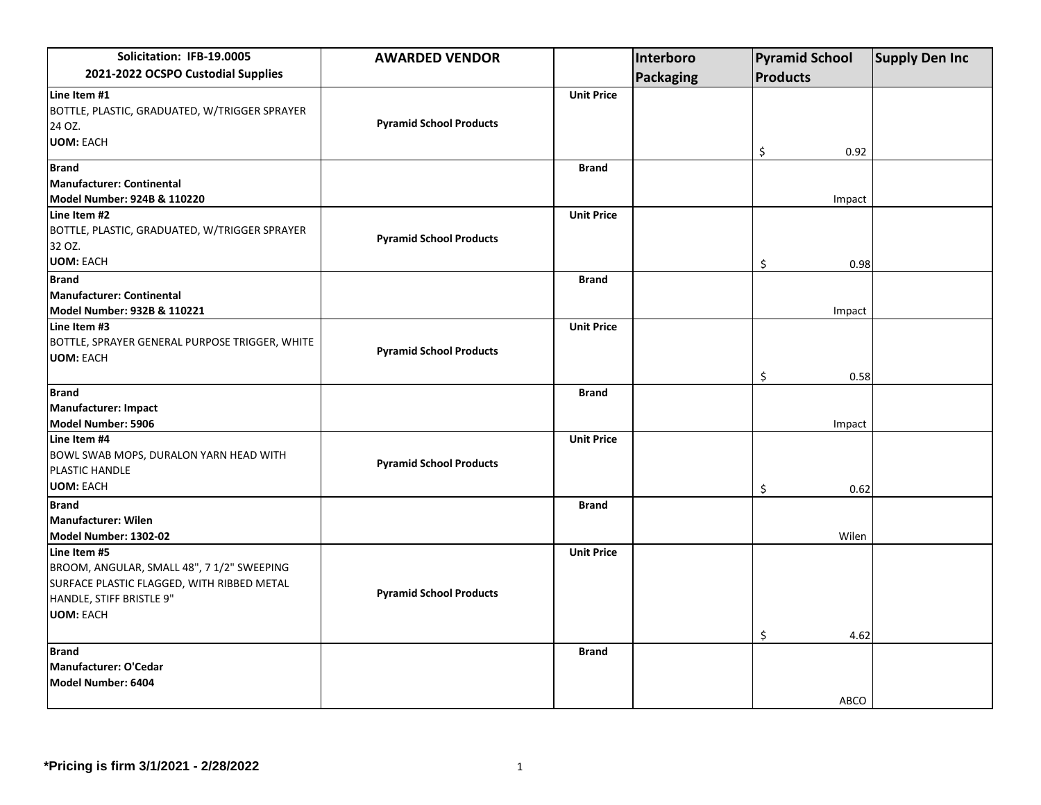| Solicitation: IFB-19.0005                                                                | <b>AWARDED VENDOR</b>          |                   | Interboro | <b>Pyramid School</b> |        | <b>Supply Den Inc</b> |
|------------------------------------------------------------------------------------------|--------------------------------|-------------------|-----------|-----------------------|--------|-----------------------|
| 2021-2022 OCSPO Custodial Supplies                                                       |                                |                   | Packaging | <b>Products</b>       |        |                       |
| Line Item #1                                                                             |                                | <b>Unit Price</b> |           |                       |        |                       |
| BOTTLE, PLASTIC, GRADUATED, W/TRIGGER SPRAYER                                            |                                |                   |           |                       |        |                       |
| 24 OZ.                                                                                   | <b>Pyramid School Products</b> |                   |           |                       |        |                       |
| <b>UOM: EACH</b>                                                                         |                                |                   |           | \$                    | 0.92   |                       |
| <b>Brand</b>                                                                             |                                | <b>Brand</b>      |           |                       |        |                       |
| Manufacturer: Continental                                                                |                                |                   |           |                       |        |                       |
| Model Number: 924B & 110220                                                              |                                |                   |           |                       | Impact |                       |
| Line Item #2                                                                             |                                | <b>Unit Price</b> |           |                       |        |                       |
| BOTTLE, PLASTIC, GRADUATED, W/TRIGGER SPRAYER                                            | <b>Pyramid School Products</b> |                   |           |                       |        |                       |
| 32 OZ.                                                                                   |                                |                   |           |                       |        |                       |
| <b>UOM: EACH</b>                                                                         |                                |                   |           | \$                    | 0.98   |                       |
| <b>Brand</b>                                                                             |                                | <b>Brand</b>      |           |                       |        |                       |
| Manufacturer: Continental                                                                |                                |                   |           |                       |        |                       |
| Model Number: 932B & 110221                                                              |                                |                   |           |                       | Impact |                       |
| Line Item #3                                                                             |                                | <b>Unit Price</b> |           |                       |        |                       |
| BOTTLE, SPRAYER GENERAL PURPOSE TRIGGER, WHITE                                           | <b>Pyramid School Products</b> |                   |           |                       |        |                       |
| <b>UOM: EACH</b>                                                                         |                                |                   |           |                       |        |                       |
|                                                                                          |                                |                   |           | \$                    | 0.58   |                       |
| <b>Brand</b>                                                                             |                                | <b>Brand</b>      |           |                       |        |                       |
| Manufacturer: Impact                                                                     |                                |                   |           |                       |        |                       |
| Model Number: 5906                                                                       |                                |                   |           |                       | Impact |                       |
| Line Item #4                                                                             |                                | <b>Unit Price</b> |           |                       |        |                       |
| BOWL SWAB MOPS, DURALON YARN HEAD WITH                                                   | <b>Pyramid School Products</b> |                   |           |                       |        |                       |
| PLASTIC HANDLE<br><b>UOM: EACH</b>                                                       |                                |                   |           |                       |        |                       |
|                                                                                          |                                |                   |           | \$                    | 0.62   |                       |
| <b>Brand</b>                                                                             |                                | <b>Brand</b>      |           |                       |        |                       |
| Manufacturer: Wilen                                                                      |                                |                   |           |                       |        |                       |
| Model Number: 1302-02                                                                    |                                |                   |           |                       | Wilen  |                       |
| Line Item #5                                                                             |                                | <b>Unit Price</b> |           |                       |        |                       |
| BROOM, ANGULAR, SMALL 48", 7 1/2" SWEEPING<br>SURFACE PLASTIC FLAGGED, WITH RIBBED METAL |                                |                   |           |                       |        |                       |
| HANDLE, STIFF BRISTLE 9"                                                                 | <b>Pyramid School Products</b> |                   |           |                       |        |                       |
| <b>UOM: EACH</b>                                                                         |                                |                   |           |                       |        |                       |
|                                                                                          |                                |                   |           |                       |        |                       |
|                                                                                          |                                |                   |           | \$                    | 4.62   |                       |
| <b>Brand</b>                                                                             |                                | <b>Brand</b>      |           |                       |        |                       |
| Manufacturer: O'Cedar                                                                    |                                |                   |           |                       |        |                       |
| Model Number: 6404                                                                       |                                |                   |           |                       |        |                       |
|                                                                                          |                                |                   |           |                       | ABCO   |                       |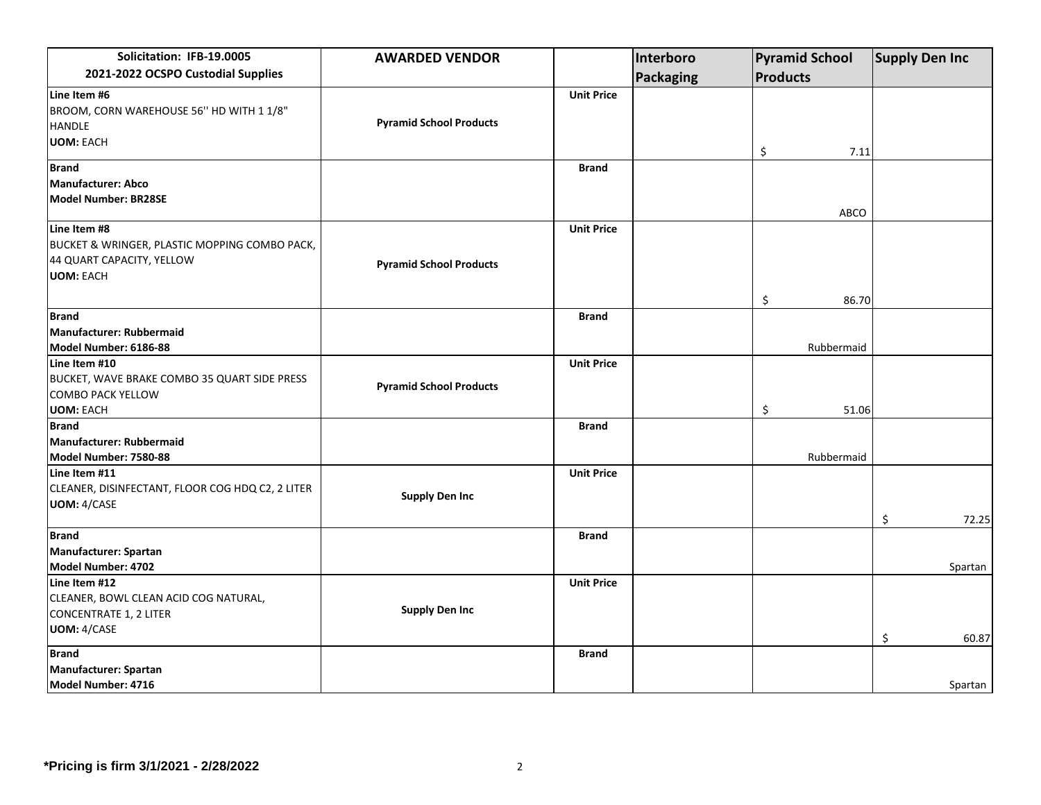| Solicitation: IFB-19.0005                        | <b>AWARDED VENDOR</b>          |                   | Interboro        | <b>Pyramid School</b> | <b>Supply Den Inc</b> |
|--------------------------------------------------|--------------------------------|-------------------|------------------|-----------------------|-----------------------|
| 2021-2022 OCSPO Custodial Supplies               |                                |                   | <b>Packaging</b> | Products              |                       |
| Line Item #6                                     |                                | <b>Unit Price</b> |                  |                       |                       |
| BROOM, CORN WAREHOUSE 56" HD WITH 1 1/8"         |                                |                   |                  |                       |                       |
| <b>HANDLE</b>                                    | <b>Pyramid School Products</b> |                   |                  |                       |                       |
| <b>UOM: EACH</b>                                 |                                |                   |                  | \$<br>7.11            |                       |
| <b>Brand</b>                                     |                                | <b>Brand</b>      |                  |                       |                       |
| <b>Manufacturer: Abco</b>                        |                                |                   |                  |                       |                       |
| <b>Model Number: BR28SE</b>                      |                                |                   |                  | <b>ABCO</b>           |                       |
| Line Item #8                                     |                                | <b>Unit Price</b> |                  |                       |                       |
| BUCKET & WRINGER, PLASTIC MOPPING COMBO PACK,    |                                |                   |                  |                       |                       |
| 44 QUART CAPACITY, YELLOW                        | <b>Pyramid School Products</b> |                   |                  |                       |                       |
| <b>UOM: EACH</b>                                 |                                |                   |                  |                       |                       |
|                                                  |                                |                   |                  | \$<br>86.70           |                       |
| <b>Brand</b>                                     |                                | <b>Brand</b>      |                  |                       |                       |
| <b>Manufacturer: Rubbermaid</b>                  |                                |                   |                  |                       |                       |
| Model Number: 6186-88                            |                                |                   |                  | Rubbermaid            |                       |
| Line Item #10                                    |                                | <b>Unit Price</b> |                  |                       |                       |
| BUCKET, WAVE BRAKE COMBO 35 QUART SIDE PRESS     | <b>Pyramid School Products</b> |                   |                  |                       |                       |
| <b>COMBO PACK YELLOW</b>                         |                                |                   |                  |                       |                       |
| <b>UOM: EACH</b>                                 |                                |                   |                  | \$<br>51.06           |                       |
| <b>Brand</b>                                     |                                | <b>Brand</b>      |                  |                       |                       |
| <b>Manufacturer: Rubbermaid</b>                  |                                |                   |                  |                       |                       |
| Model Number: 7580-88<br>Line Item #11           |                                |                   |                  | Rubbermaid            |                       |
| CLEANER, DISINFECTANT, FLOOR COG HDQ C2, 2 LITER |                                | <b>Unit Price</b> |                  |                       |                       |
| <b>UOM: 4/CASE</b>                               | <b>Supply Den Inc</b>          |                   |                  |                       |                       |
|                                                  |                                |                   |                  |                       | \$<br>72.25           |
| <b>Brand</b>                                     |                                | <b>Brand</b>      |                  |                       |                       |
| Manufacturer: Spartan                            |                                |                   |                  |                       |                       |
| Model Number: 4702                               |                                |                   |                  |                       | Spartan               |
| Line Item #12                                    |                                | <b>Unit Price</b> |                  |                       |                       |
| CLEANER, BOWL CLEAN ACID COG NATURAL,            | <b>Supply Den Inc</b>          |                   |                  |                       |                       |
| <b>CONCENTRATE 1, 2 LITER</b>                    |                                |                   |                  |                       |                       |
| <b>UOM: 4/CASE</b>                               |                                |                   |                  |                       | \$<br>60.87           |
| <b>Brand</b>                                     |                                | <b>Brand</b>      |                  |                       |                       |
| Manufacturer: Spartan                            |                                |                   |                  |                       |                       |
| Model Number: 4716                               |                                |                   |                  |                       | Spartan               |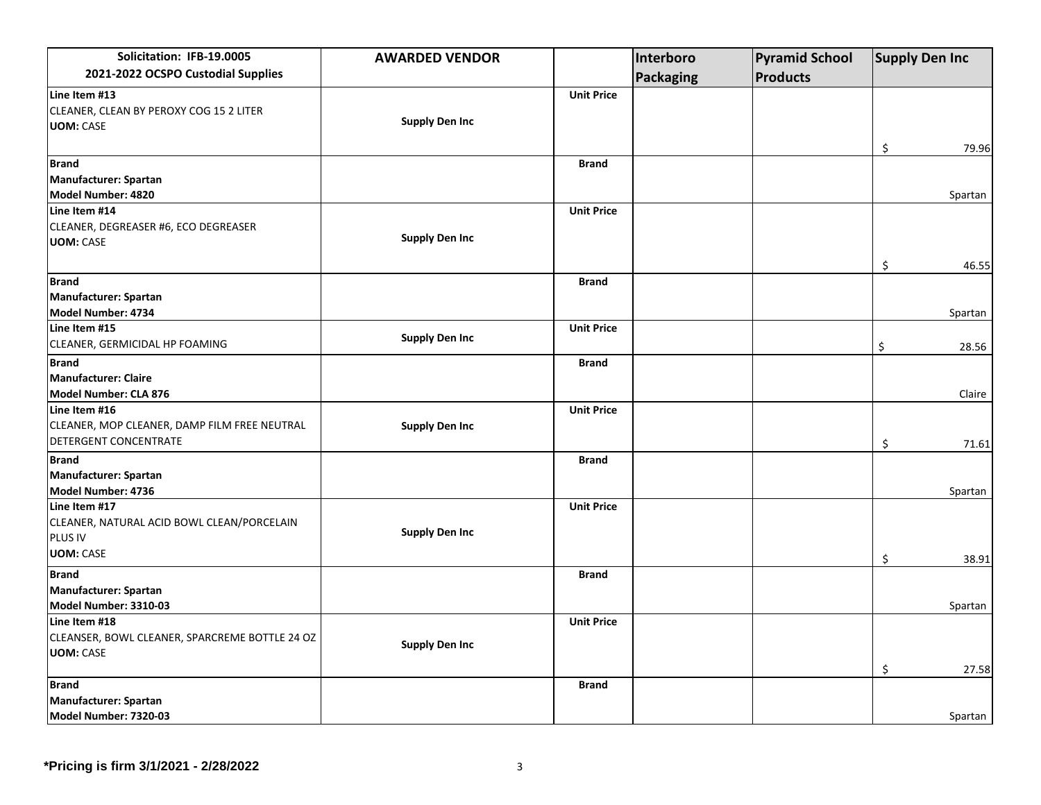| Solicitation: IFB-19.0005                      | <b>AWARDED VENDOR</b> |                   | Interboro | <b>Pyramid School</b> | <b>Supply Den Inc</b> |
|------------------------------------------------|-----------------------|-------------------|-----------|-----------------------|-----------------------|
| 2021-2022 OCSPO Custodial Supplies             |                       |                   | Packaging | <b>Products</b>       |                       |
| Line Item #13                                  |                       | <b>Unit Price</b> |           |                       |                       |
| CLEANER, CLEAN BY PEROXY COG 15 2 LITER        |                       |                   |           |                       |                       |
| <b>UOM: CASE</b>                               | <b>Supply Den Inc</b> |                   |           |                       |                       |
|                                                |                       |                   |           |                       | \$<br>79.96           |
| <b>Brand</b>                                   |                       | <b>Brand</b>      |           |                       |                       |
| Manufacturer: Spartan                          |                       |                   |           |                       |                       |
| Model Number: 4820                             |                       |                   |           |                       | Spartan               |
| Line Item #14                                  |                       | <b>Unit Price</b> |           |                       |                       |
| CLEANER, DEGREASER #6, ECO DEGREASER           |                       |                   |           |                       |                       |
| <b>UOM: CASE</b>                               | <b>Supply Den Inc</b> |                   |           |                       |                       |
|                                                |                       |                   |           |                       | \$<br>46.55           |
| <b>Brand</b>                                   |                       | <b>Brand</b>      |           |                       |                       |
| Manufacturer: Spartan                          |                       |                   |           |                       |                       |
| Model Number: 4734                             |                       |                   |           |                       | Spartan               |
| Line Item #15                                  |                       | <b>Unit Price</b> |           |                       |                       |
| CLEANER, GERMICIDAL HP FOAMING                 | <b>Supply Den Inc</b> |                   |           |                       | \$<br>28.56           |
| <b>Brand</b>                                   |                       | <b>Brand</b>      |           |                       |                       |
| <b>Manufacturer: Claire</b>                    |                       |                   |           |                       |                       |
| Model Number: CLA 876                          |                       |                   |           |                       | Claire                |
| Line Item #16                                  |                       | <b>Unit Price</b> |           |                       |                       |
| CLEANER, MOP CLEANER, DAMP FILM FREE NEUTRAL   | <b>Supply Den Inc</b> |                   |           |                       |                       |
| DETERGENT CONCENTRATE                          |                       |                   |           |                       | \$<br>71.61           |
| <b>Brand</b>                                   |                       | <b>Brand</b>      |           |                       |                       |
| Manufacturer: Spartan                          |                       |                   |           |                       |                       |
| Model Number: 4736                             |                       |                   |           |                       | Spartan               |
| Line Item #17                                  |                       | <b>Unit Price</b> |           |                       |                       |
| CLEANER, NATURAL ACID BOWL CLEAN/PORCELAIN     | <b>Supply Den Inc</b> |                   |           |                       |                       |
| PLUS IV                                        |                       |                   |           |                       |                       |
| <b>UOM: CASE</b>                               |                       |                   |           |                       | \$<br>38.91           |
| <b>Brand</b>                                   |                       | <b>Brand</b>      |           |                       |                       |
| <b>Manufacturer: Spartan</b>                   |                       |                   |           |                       |                       |
| Model Number: 3310-03                          |                       |                   |           |                       | Spartan               |
| Line Item #18                                  |                       | <b>Unit Price</b> |           |                       |                       |
| CLEANSER, BOWL CLEANER, SPARCREME BOTTLE 24 OZ | <b>Supply Den Inc</b> |                   |           |                       |                       |
| <b>UOM: CASE</b>                               |                       |                   |           |                       |                       |
|                                                |                       |                   |           |                       | \$<br>27.58           |
| <b>Brand</b>                                   |                       | <b>Brand</b>      |           |                       |                       |
| Manufacturer: Spartan                          |                       |                   |           |                       |                       |
| Model Number: 7320-03                          |                       |                   |           |                       | Spartan               |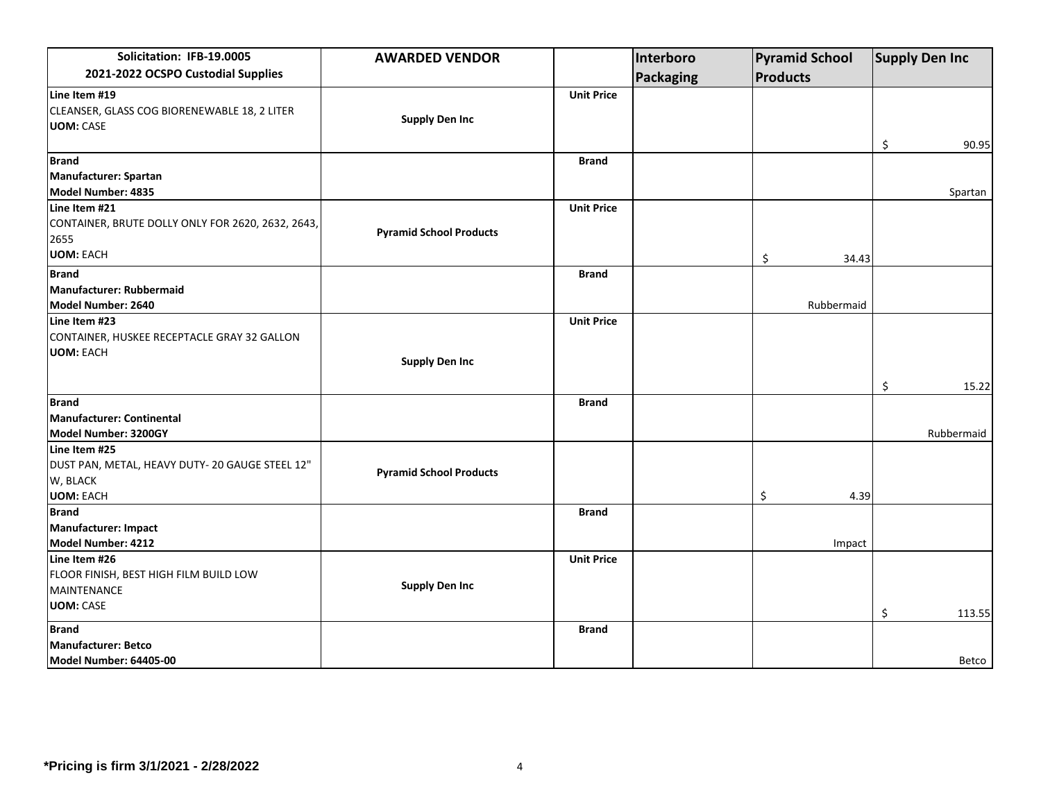| Solicitation: IFB-19.0005                         | <b>AWARDED VENDOR</b>          |                   | Interboro | <b>Pyramid School</b> | <b>Supply Den Inc</b> |
|---------------------------------------------------|--------------------------------|-------------------|-----------|-----------------------|-----------------------|
| 2021-2022 OCSPO Custodial Supplies                |                                |                   | Packaging | <b>Products</b>       |                       |
| Line Item #19                                     |                                | <b>Unit Price</b> |           |                       |                       |
| CLEANSER, GLASS COG BIORENEWABLE 18, 2 LITER      |                                |                   |           |                       |                       |
| <b>UOM: CASE</b>                                  | <b>Supply Den Inc</b>          |                   |           |                       |                       |
|                                                   |                                |                   |           |                       | \$<br>90.95           |
| <b>Brand</b>                                      |                                | <b>Brand</b>      |           |                       |                       |
| Manufacturer: Spartan                             |                                |                   |           |                       |                       |
| Model Number: 4835                                |                                |                   |           |                       | Spartan               |
| Line Item #21                                     |                                | <b>Unit Price</b> |           |                       |                       |
| CONTAINER, BRUTE DOLLY ONLY FOR 2620, 2632, 2643, |                                |                   |           |                       |                       |
| 2655                                              | <b>Pyramid School Products</b> |                   |           |                       |                       |
| <b>UOM: EACH</b>                                  |                                |                   |           | \$<br>34.43           |                       |
| <b>Brand</b>                                      |                                | <b>Brand</b>      |           |                       |                       |
| <b>Manufacturer: Rubbermaid</b>                   |                                |                   |           |                       |                       |
| Model Number: 2640                                |                                |                   |           | Rubbermaid            |                       |
| Line Item #23                                     |                                | <b>Unit Price</b> |           |                       |                       |
| CONTAINER, HUSKEE RECEPTACLE GRAY 32 GALLON       |                                |                   |           |                       |                       |
| <b>UOM: EACH</b>                                  |                                |                   |           |                       |                       |
|                                                   | <b>Supply Den Inc</b>          |                   |           |                       |                       |
|                                                   |                                |                   |           |                       | \$<br>15.22           |
| <b>Brand</b>                                      |                                | <b>Brand</b>      |           |                       |                       |
| Manufacturer: Continental                         |                                |                   |           |                       |                       |
| Model Number: 3200GY                              |                                |                   |           |                       | Rubbermaid            |
| Line Item #25                                     |                                |                   |           |                       |                       |
| DUST PAN, METAL, HEAVY DUTY- 20 GAUGE STEEL 12"   | <b>Pyramid School Products</b> |                   |           |                       |                       |
| W, BLACK                                          |                                |                   |           |                       |                       |
| <b>UOM: EACH</b>                                  |                                |                   |           | \$<br>4.39            |                       |
| <b>Brand</b>                                      |                                | <b>Brand</b>      |           |                       |                       |
| Manufacturer: Impact                              |                                |                   |           |                       |                       |
| Model Number: 4212                                |                                |                   |           | Impact                |                       |
| Line Item #26                                     |                                | <b>Unit Price</b> |           |                       |                       |
| FLOOR FINISH, BEST HIGH FILM BUILD LOW            |                                |                   |           |                       |                       |
| <b>MAINTENANCE</b>                                | <b>Supply Den Inc</b>          |                   |           |                       |                       |
| <b>UOM: CASE</b>                                  |                                |                   |           |                       | \$<br>113.55          |
| <b>Brand</b>                                      |                                | <b>Brand</b>      |           |                       |                       |
| <b>Manufacturer: Betco</b>                        |                                |                   |           |                       |                       |
| Model Number: 64405-00                            |                                |                   |           |                       | Betco                 |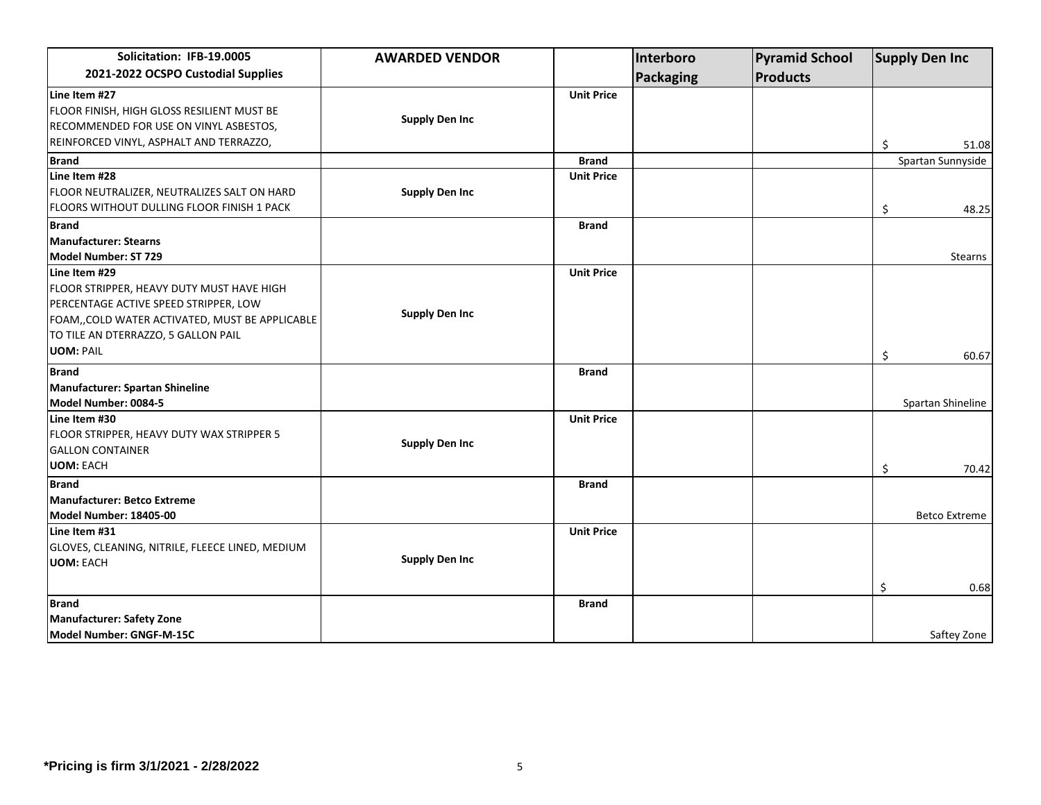| Solicitation: IFB-19.0005                                                                                                                                                                                         | <b>AWARDED VENDOR</b> |                   | Interboro        | <b>Pyramid School</b> | <b>Supply Den Inc</b> |
|-------------------------------------------------------------------------------------------------------------------------------------------------------------------------------------------------------------------|-----------------------|-------------------|------------------|-----------------------|-----------------------|
| 2021-2022 OCSPO Custodial Supplies                                                                                                                                                                                |                       |                   | <b>Packaging</b> | <b>Products</b>       |                       |
| Line Item #27<br>FLOOR FINISH, HIGH GLOSS RESILIENT MUST BE<br>RECOMMENDED FOR USE ON VINYL ASBESTOS,<br>REINFORCED VINYL, ASPHALT AND TERRAZZO,                                                                  | <b>Supply Den Inc</b> | <b>Unit Price</b> |                  |                       | \$<br>51.08           |
| <b>Brand</b>                                                                                                                                                                                                      |                       | <b>Brand</b>      |                  |                       | Spartan Sunnyside     |
| Line Item #28<br>FLOOR NEUTRALIZER, NEUTRALIZES SALT ON HARD<br>FLOORS WITHOUT DULLING FLOOR FINISH 1 PACK                                                                                                        | <b>Supply Den Inc</b> | <b>Unit Price</b> |                  |                       | \$<br>48.25           |
| <b>Brand</b>                                                                                                                                                                                                      |                       | <b>Brand</b>      |                  |                       |                       |
| Manufacturer: Stearns<br>Model Number: ST 729                                                                                                                                                                     |                       |                   |                  |                       | Stearns               |
| Line Item #29<br>FLOOR STRIPPER, HEAVY DUTY MUST HAVE HIGH<br>PERCENTAGE ACTIVE SPEED STRIPPER, LOW<br>FOAM,, COLD WATER ACTIVATED, MUST BE APPLICABLE<br>TO TILE AN DTERRAZZO, 5 GALLON PAIL<br><b>UOM: PAIL</b> | <b>Supply Den Inc</b> | <b>Unit Price</b> |                  |                       | \$<br>60.67           |
| <b>Brand</b>                                                                                                                                                                                                      |                       | <b>Brand</b>      |                  |                       |                       |
| Manufacturer: Spartan Shineline<br>Model Number: 0084-5                                                                                                                                                           |                       |                   |                  |                       | Spartan Shineline     |
| Line Item #30<br>FLOOR STRIPPER, HEAVY DUTY WAX STRIPPER 5<br><b>GALLON CONTAINER</b><br><b>UOM: EACH</b>                                                                                                         | <b>Supply Den Inc</b> | <b>Unit Price</b> |                  |                       | \$<br>70.42           |
| <b>Brand</b>                                                                                                                                                                                                      |                       | <b>Brand</b>      |                  |                       |                       |
| Manufacturer: Betco Extreme<br>Model Number: 18405-00                                                                                                                                                             |                       |                   |                  |                       | <b>Betco Extreme</b>  |
| Line Item #31<br>GLOVES, CLEANING, NITRILE, FLEECE LINED, MEDIUM<br><b>UOM: EACH</b>                                                                                                                              | <b>Supply Den Inc</b> | <b>Unit Price</b> |                  |                       | \$<br>0.68            |
| <b>Brand</b>                                                                                                                                                                                                      |                       | <b>Brand</b>      |                  |                       |                       |
| Manufacturer: Safety Zone<br>Model Number: GNGF-M-15C                                                                                                                                                             |                       |                   |                  |                       | Saftey Zone           |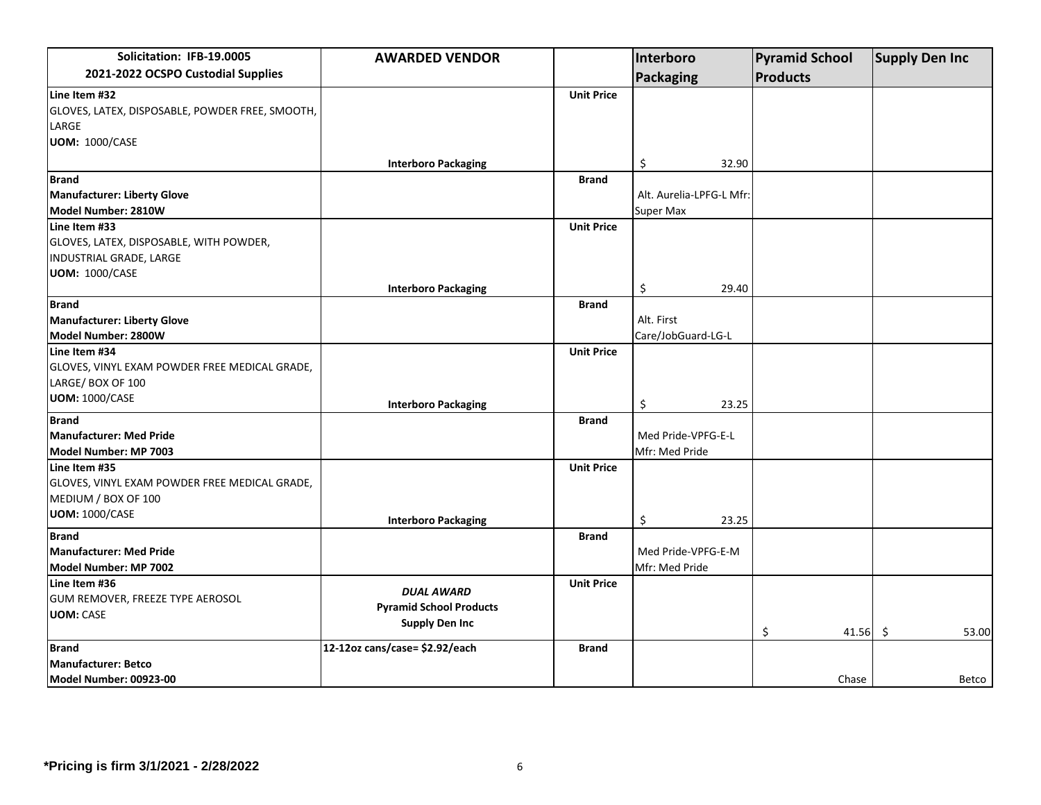| Solicitation: IFB-19.0005                       | <b>AWARDED VENDOR</b>          |                   | Interboro                | <b>Pyramid School</b> | <b>Supply Den Inc</b> |
|-------------------------------------------------|--------------------------------|-------------------|--------------------------|-----------------------|-----------------------|
| 2021-2022 OCSPO Custodial Supplies              |                                |                   | Packaging                | <b>Products</b>       |                       |
| Line Item #32                                   |                                | <b>Unit Price</b> |                          |                       |                       |
| GLOVES, LATEX, DISPOSABLE, POWDER FREE, SMOOTH, |                                |                   |                          |                       |                       |
| LARGE                                           |                                |                   |                          |                       |                       |
| <b>UOM: 1000/CASE</b>                           |                                |                   |                          |                       |                       |
|                                                 | <b>Interboro Packaging</b>     |                   | \$<br>32.90              |                       |                       |
| <b>Brand</b>                                    |                                | <b>Brand</b>      |                          |                       |                       |
| Manufacturer: Liberty Glove                     |                                |                   | Alt. Aurelia-LPFG-L Mfr: |                       |                       |
| Model Number: 2810W                             |                                |                   | <b>Super Max</b>         |                       |                       |
| Line Item #33                                   |                                | <b>Unit Price</b> |                          |                       |                       |
| GLOVES, LATEX, DISPOSABLE, WITH POWDER,         |                                |                   |                          |                       |                       |
| INDUSTRIAL GRADE, LARGE                         |                                |                   |                          |                       |                       |
| <b>UOM: 1000/CASE</b>                           |                                |                   |                          |                       |                       |
|                                                 | <b>Interboro Packaging</b>     |                   | \$<br>29.40              |                       |                       |
| <b>Brand</b>                                    |                                | <b>Brand</b>      |                          |                       |                       |
| Manufacturer: Liberty Glove                     |                                |                   | Alt. First               |                       |                       |
| Model Number: 2800W                             |                                |                   | Care/JobGuard-LG-L       |                       |                       |
| Line Item #34                                   |                                | <b>Unit Price</b> |                          |                       |                       |
| GLOVES, VINYL EXAM POWDER FREE MEDICAL GRADE,   |                                |                   |                          |                       |                       |
| LARGE/BOX OF 100                                |                                |                   |                          |                       |                       |
| <b>UOM: 1000/CASE</b>                           | <b>Interboro Packaging</b>     |                   | \$<br>23.25              |                       |                       |
| <b>Brand</b>                                    |                                | <b>Brand</b>      |                          |                       |                       |
| <b>Manufacturer: Med Pride</b>                  |                                |                   | Med Pride-VPFG-E-L       |                       |                       |
| Model Number: MP 7003                           |                                |                   | Mfr: Med Pride           |                       |                       |
| Line Item #35                                   |                                | <b>Unit Price</b> |                          |                       |                       |
| GLOVES, VINYL EXAM POWDER FREE MEDICAL GRADE,   |                                |                   |                          |                       |                       |
| MEDIUM / BOX OF 100                             |                                |                   |                          |                       |                       |
| <b>UOM: 1000/CASE</b>                           | <b>Interboro Packaging</b>     |                   | \$<br>23.25              |                       |                       |
| <b>Brand</b>                                    |                                | <b>Brand</b>      |                          |                       |                       |
| <b>Manufacturer: Med Pride</b>                  |                                |                   | Med Pride-VPFG-E-M       |                       |                       |
| Model Number: MP 7002                           |                                |                   | Mfr: Med Pride           |                       |                       |
| Line Item #36                                   |                                | <b>Unit Price</b> |                          |                       |                       |
| GUM REMOVER, FREEZE TYPE AEROSOL                | <b>DUAL AWARD</b>              |                   |                          |                       |                       |
| <b>UOM: CASE</b>                                | <b>Pyramid School Products</b> |                   |                          |                       |                       |
|                                                 | <b>Supply Den Inc</b>          |                   |                          | \$<br>41.56 \$        | 53.00                 |
| <b>Brand</b>                                    | 12-12oz cans/case= \$2.92/each | <b>Brand</b>      |                          |                       |                       |
| <b>Manufacturer: Betco</b>                      |                                |                   |                          |                       |                       |
| Model Number: 00923-00                          |                                |                   |                          | Chase                 | Betco                 |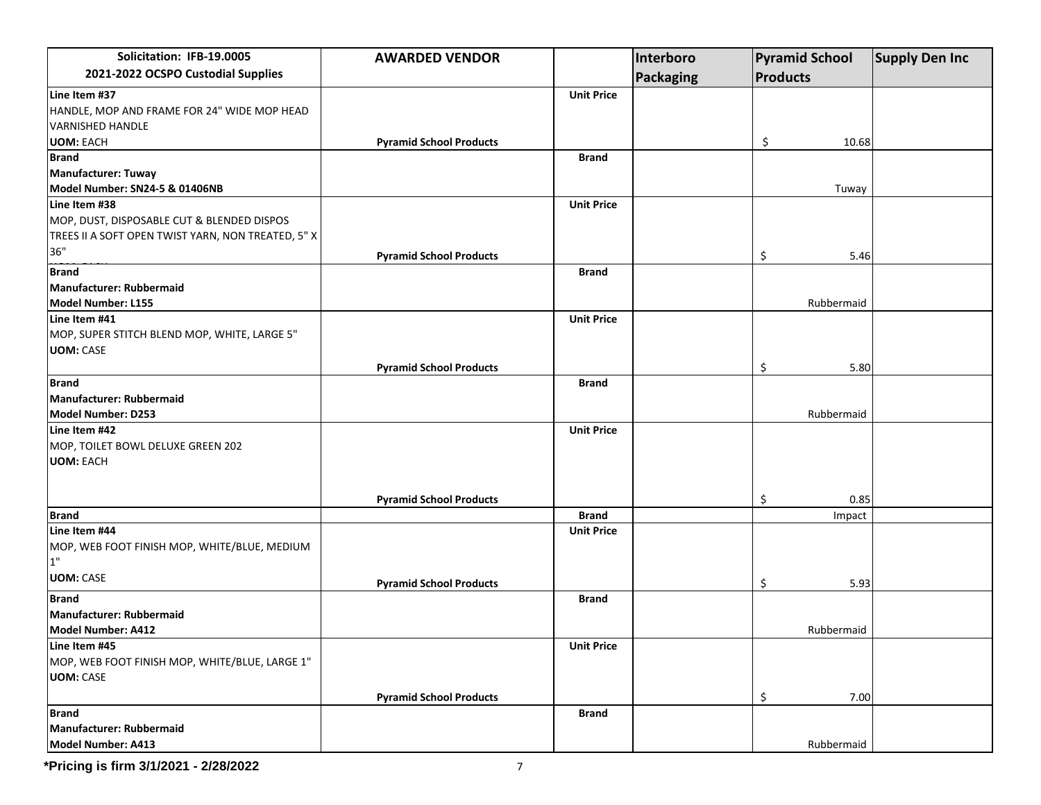| Solicitation: IFB-19.0005                          | <b>AWARDED VENDOR</b>          |                   | Interboro |                 | <b>Pyramid School</b> | <b>Supply Den Inc</b> |
|----------------------------------------------------|--------------------------------|-------------------|-----------|-----------------|-----------------------|-----------------------|
| 2021-2022 OCSPO Custodial Supplies                 |                                |                   | Packaging | <b>Products</b> |                       |                       |
| Line Item #37                                      |                                | <b>Unit Price</b> |           |                 |                       |                       |
| HANDLE, MOP AND FRAME FOR 24" WIDE MOP HEAD        |                                |                   |           |                 |                       |                       |
| <b>VARNISHED HANDLE</b>                            |                                |                   |           |                 |                       |                       |
| <b>UOM: EACH</b>                                   | <b>Pyramid School Products</b> |                   |           | \$              | 10.68                 |                       |
| <b>Brand</b>                                       |                                | <b>Brand</b>      |           |                 |                       |                       |
| Manufacturer: Tuway                                |                                |                   |           |                 |                       |                       |
| Model Number: SN24-5 & 01406NB                     |                                |                   |           |                 | Tuway                 |                       |
| Line Item #38                                      |                                | <b>Unit Price</b> |           |                 |                       |                       |
| MOP, DUST, DISPOSABLE CUT & BLENDED DISPOS         |                                |                   |           |                 |                       |                       |
| TREES II A SOFT OPEN TWIST YARN, NON TREATED, 5" X |                                |                   |           |                 |                       |                       |
| 36"                                                | <b>Pyramid School Products</b> |                   |           | \$              | 5.46                  |                       |
| <b>Brand</b>                                       |                                | <b>Brand</b>      |           |                 |                       |                       |
| Manufacturer: Rubbermaid                           |                                |                   |           |                 |                       |                       |
| Model Number: L155                                 |                                |                   |           |                 | Rubbermaid            |                       |
| Line Item #41                                      |                                | <b>Unit Price</b> |           |                 |                       |                       |
| MOP, SUPER STITCH BLEND MOP, WHITE, LARGE 5"       |                                |                   |           |                 |                       |                       |
| <b>UOM: CASE</b>                                   |                                |                   |           |                 |                       |                       |
|                                                    | <b>Pyramid School Products</b> |                   |           | \$              | 5.80                  |                       |
| <b>Brand</b>                                       |                                | <b>Brand</b>      |           |                 |                       |                       |
| Manufacturer: Rubbermaid                           |                                |                   |           |                 |                       |                       |
|                                                    |                                |                   |           |                 |                       |                       |
| Model Number: D253                                 |                                |                   |           |                 | Rubbermaid            |                       |
| Line Item #42                                      |                                | <b>Unit Price</b> |           |                 |                       |                       |
| MOP, TOILET BOWL DELUXE GREEN 202                  |                                |                   |           |                 |                       |                       |
| <b>UOM: EACH</b>                                   |                                |                   |           |                 |                       |                       |
|                                                    |                                |                   |           |                 |                       |                       |
|                                                    | <b>Pyramid School Products</b> |                   |           | \$              | 0.85                  |                       |
| <b>Brand</b>                                       |                                | <b>Brand</b>      |           |                 | Impact                |                       |
| Line Item #44                                      |                                | <b>Unit Price</b> |           |                 |                       |                       |
| MOP, WEB FOOT FINISH MOP, WHITE/BLUE, MEDIUM       |                                |                   |           |                 |                       |                       |
| 1"                                                 |                                |                   |           |                 |                       |                       |
| <b>UOM: CASE</b>                                   | <b>Pyramid School Products</b> |                   |           | \$              | 5.93                  |                       |
| <b>Brand</b>                                       |                                | Brand             |           |                 |                       |                       |
| Manufacturer: Rubbermaid                           |                                |                   |           |                 |                       |                       |
| Model Number: A412                                 |                                |                   |           |                 | Rubbermaid            |                       |
| Line Item #45                                      |                                | <b>Unit Price</b> |           |                 |                       |                       |
| MOP, WEB FOOT FINISH MOP, WHITE/BLUE, LARGE 1"     |                                |                   |           |                 |                       |                       |
| <b>UOM: CASE</b>                                   |                                |                   |           |                 |                       |                       |
|                                                    |                                |                   |           |                 |                       |                       |
|                                                    | <b>Pyramid School Products</b> |                   |           | \$              | 7.00                  |                       |
| <b>Brand</b>                                       |                                | <b>Brand</b>      |           |                 |                       |                       |
| Manufacturer: Rubbermaid                           |                                |                   |           |                 |                       |                       |
| Model Number: A413                                 |                                |                   |           |                 | Rubbermaid            |                       |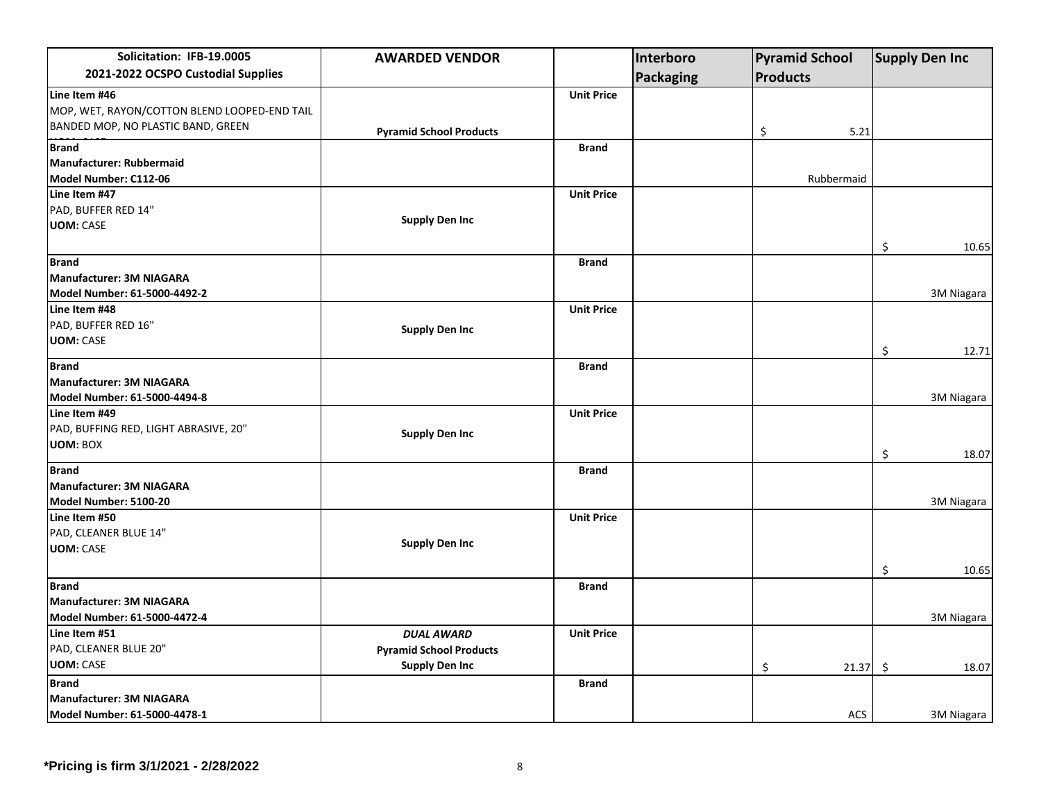| Solicitation: IFB-19.0005                    | <b>AWARDED VENDOR</b>          |                   | Interboro | <b>Pyramid School</b> |             | <b>Supply Den Inc</b> |
|----------------------------------------------|--------------------------------|-------------------|-----------|-----------------------|-------------|-----------------------|
| 2021-2022 OCSPO Custodial Supplies           |                                |                   | Packaging | <b>Products</b>       |             |                       |
| Line Item #46                                |                                | <b>Unit Price</b> |           |                       |             |                       |
| MOP, WET, RAYON/COTTON BLEND LOOPED-END TAIL |                                |                   |           |                       |             |                       |
| BANDED MOP, NO PLASTIC BAND, GREEN           | <b>Pyramid School Products</b> |                   |           | \$                    | 5.21        |                       |
| <b>Brand</b>                                 |                                | <b>Brand</b>      |           |                       |             |                       |
| Manufacturer: Rubbermaid                     |                                |                   |           |                       |             |                       |
| Model Number: C112-06                        |                                |                   |           | Rubbermaid            |             |                       |
| Line Item #47                                |                                | <b>Unit Price</b> |           |                       |             |                       |
| PAD, BUFFER RED 14"                          |                                |                   |           |                       |             |                       |
| <b>UOM: CASE</b>                             | <b>Supply Den Inc</b>          |                   |           |                       |             |                       |
|                                              |                                |                   |           |                       | \$          | 10.65                 |
| <b>Brand</b>                                 |                                | <b>Brand</b>      |           |                       |             |                       |
| <b>Manufacturer: 3M NIAGARA</b>              |                                |                   |           |                       |             |                       |
| Model Number: 61-5000-4492-2                 |                                |                   |           |                       |             | 3M Niagara            |
| Line Item #48                                |                                | <b>Unit Price</b> |           |                       |             |                       |
| PAD, BUFFER RED 16"                          | <b>Supply Den Inc</b>          |                   |           |                       |             |                       |
| <b>UOM: CASE</b>                             |                                |                   |           |                       | \$          | 12.71                 |
| <b>Brand</b>                                 |                                | <b>Brand</b>      |           |                       |             |                       |
| <b>Manufacturer: 3M NIAGARA</b>              |                                |                   |           |                       |             |                       |
| Model Number: 61-5000-4494-8                 |                                |                   |           |                       |             | 3M Niagara            |
| Line Item #49                                |                                | <b>Unit Price</b> |           |                       |             |                       |
| PAD, BUFFING RED, LIGHT ABRASIVE, 20"        | <b>Supply Den Inc</b>          |                   |           |                       |             |                       |
| <b>UOM: BOX</b>                              |                                |                   |           |                       | \$          | 18.07                 |
| <b>Brand</b>                                 |                                | <b>Brand</b>      |           |                       |             |                       |
| Manufacturer: 3M NIAGARA                     |                                |                   |           |                       |             |                       |
| Model Number: 5100-20                        |                                |                   |           |                       |             | 3M Niagara            |
| Line Item #50                                |                                | <b>Unit Price</b> |           |                       |             |                       |
| PAD, CLEANER BLUE 14"                        |                                |                   |           |                       |             |                       |
| <b>UOM: CASE</b>                             | <b>Supply Den Inc</b>          |                   |           |                       |             |                       |
|                                              |                                |                   |           |                       | \$          | 10.65                 |
| <b>Brand</b>                                 |                                | <b>Brand</b>      |           |                       |             |                       |
| Manufacturer: 3M NIAGARA                     |                                |                   |           |                       |             |                       |
| Model Number: 61-5000-4472-4                 |                                |                   |           |                       |             | 3M Niagara            |
| Line Item #51                                | <b>DUAL AWARD</b>              | <b>Unit Price</b> |           |                       |             |                       |
| PAD, CLEANER BLUE 20"                        | <b>Pyramid School Products</b> |                   |           |                       |             |                       |
| <b>UOM: CASE</b>                             | <b>Supply Den Inc</b>          |                   |           | \$                    | \$<br>21.37 | 18.07                 |
| <b>Brand</b>                                 |                                | <b>Brand</b>      |           |                       |             |                       |
| Manufacturer: 3M NIAGARA                     |                                |                   |           |                       |             |                       |
| Model Number: 61-5000-4478-1                 |                                |                   |           |                       | ACS         | 3M Niagara            |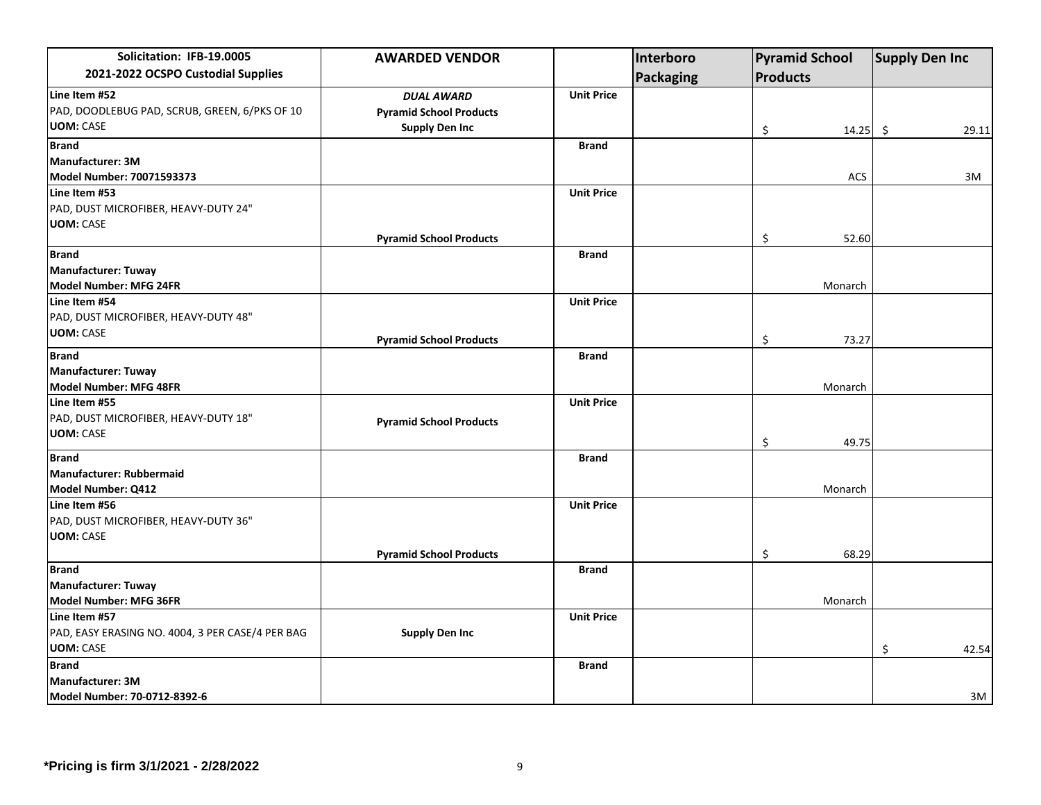| Solicitation: IFB-19.0005                        | <b>AWARDED VENDOR</b>          |                   | Interboro        |                 | <b>Pyramid School</b> | <b>Supply Den Inc</b> |       |
|--------------------------------------------------|--------------------------------|-------------------|------------------|-----------------|-----------------------|-----------------------|-------|
| 2021-2022 OCSPO Custodial Supplies               |                                |                   | <b>Packaging</b> | <b>Products</b> |                       |                       |       |
| Line Item #52                                    | <b>DUAL AWARD</b>              | <b>Unit Price</b> |                  |                 |                       |                       |       |
| PAD, DOODLEBUG PAD, SCRUB, GREEN, 6/PKS OF 10    | <b>Pyramid School Products</b> |                   |                  |                 |                       |                       |       |
| <b>UOM: CASE</b>                                 | <b>Supply Den Inc</b>          |                   |                  | \$              | 14.25                 | \$                    | 29.11 |
| <b>Brand</b>                                     |                                | <b>Brand</b>      |                  |                 |                       |                       |       |
| Manufacturer: 3M                                 |                                |                   |                  |                 |                       |                       |       |
| Model Number: 70071593373                        |                                |                   |                  |                 | <b>ACS</b>            |                       | 3M    |
| Line Item #53                                    |                                | <b>Unit Price</b> |                  |                 |                       |                       |       |
| PAD, DUST MICROFIBER, HEAVY-DUTY 24"             |                                |                   |                  |                 |                       |                       |       |
| <b>UOM: CASE</b>                                 |                                |                   |                  |                 |                       |                       |       |
|                                                  | <b>Pyramid School Products</b> |                   |                  | \$              | 52.60                 |                       |       |
| <b>Brand</b>                                     |                                | <b>Brand</b>      |                  |                 |                       |                       |       |
| Manufacturer: Tuway                              |                                |                   |                  |                 |                       |                       |       |
| Model Number: MFG 24FR                           |                                |                   |                  |                 | Monarch               |                       |       |
| Line Item #54                                    |                                | <b>Unit Price</b> |                  |                 |                       |                       |       |
| PAD, DUST MICROFIBER, HEAVY-DUTY 48"             |                                |                   |                  |                 |                       |                       |       |
| <b>UOM: CASE</b>                                 | <b>Pyramid School Products</b> |                   |                  | \$              | 73.27                 |                       |       |
| <b>Brand</b>                                     |                                | <b>Brand</b>      |                  |                 |                       |                       |       |
| Manufacturer: Tuway                              |                                |                   |                  |                 |                       |                       |       |
| Model Number: MFG 48FR                           |                                |                   |                  |                 | Monarch               |                       |       |
| Line Item #55                                    |                                | <b>Unit Price</b> |                  |                 |                       |                       |       |
| PAD, DUST MICROFIBER, HEAVY-DUTY 18"             | <b>Pyramid School Products</b> |                   |                  |                 |                       |                       |       |
| <b>UOM: CASE</b>                                 |                                |                   |                  |                 |                       |                       |       |
|                                                  |                                |                   |                  | \$              | 49.75                 |                       |       |
| <b>Brand</b>                                     |                                | <b>Brand</b>      |                  |                 |                       |                       |       |
| Manufacturer: Rubbermaid                         |                                |                   |                  |                 |                       |                       |       |
| Model Number: Q412                               |                                |                   |                  |                 | Monarch               |                       |       |
| Line Item #56                                    |                                | <b>Unit Price</b> |                  |                 |                       |                       |       |
| PAD, DUST MICROFIBER, HEAVY-DUTY 36"             |                                |                   |                  |                 |                       |                       |       |
| <b>UOM: CASE</b>                                 |                                |                   |                  |                 |                       |                       |       |
|                                                  | <b>Pyramid School Products</b> |                   |                  | \$              | 68.29                 |                       |       |
| <b>Brand</b>                                     |                                | <b>Brand</b>      |                  |                 |                       |                       |       |
| Manufacturer: Tuway                              |                                |                   |                  |                 |                       |                       |       |
| Model Number: MFG 36FR                           |                                |                   |                  |                 | Monarch               |                       |       |
| Line Item #57                                    |                                | <b>Unit Price</b> |                  |                 |                       |                       |       |
| PAD, EASY ERASING NO. 4004, 3 PER CASE/4 PER BAG | <b>Supply Den Inc</b>          |                   |                  |                 |                       |                       |       |
| <b>UOM: CASE</b>                                 |                                |                   |                  |                 |                       | \$                    | 42.54 |
| <b>Brand</b>                                     |                                | <b>Brand</b>      |                  |                 |                       |                       |       |
| Manufacturer: 3M                                 |                                |                   |                  |                 |                       |                       |       |
| Model Number: 70-0712-8392-6                     |                                |                   |                  |                 |                       |                       | 3M    |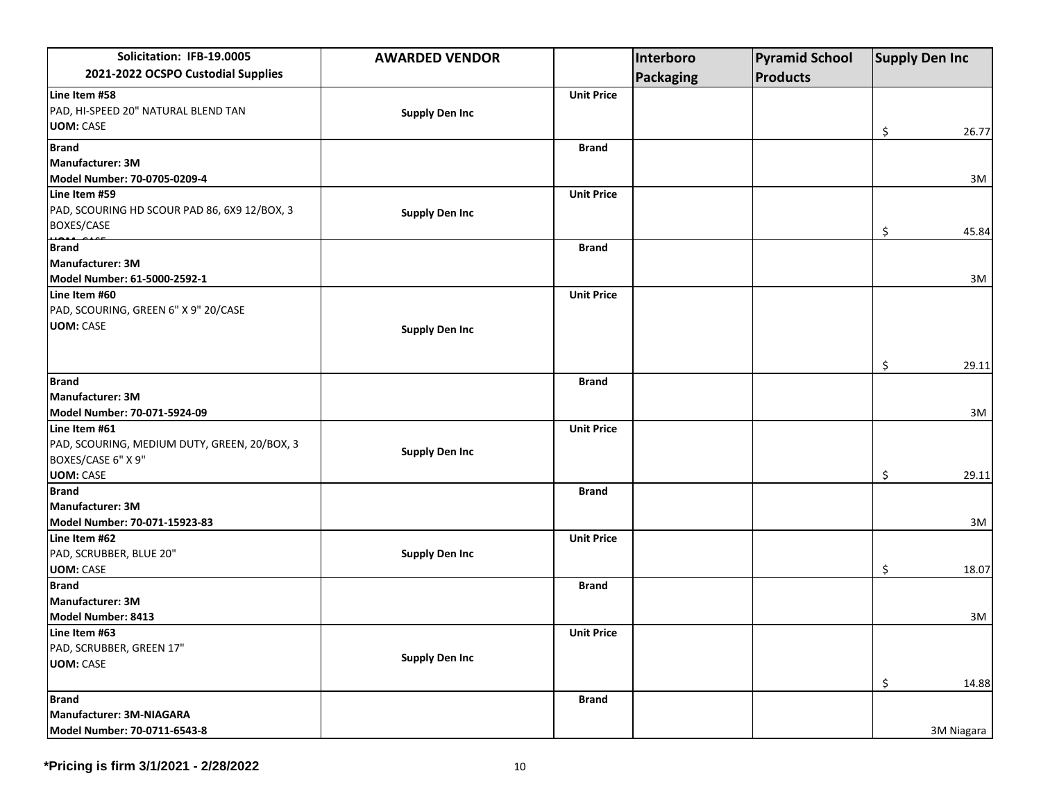| Solicitation: IFB-19.0005                    | <b>AWARDED VENDOR</b> |                   | Interboro | <b>Pyramid School</b> | <b>Supply Den Inc</b> |            |
|----------------------------------------------|-----------------------|-------------------|-----------|-----------------------|-----------------------|------------|
| 2021-2022 OCSPO Custodial Supplies           |                       |                   | Packaging | <b>Products</b>       |                       |            |
| Line Item #58                                |                       | <b>Unit Price</b> |           |                       |                       |            |
| PAD, HI-SPEED 20" NATURAL BLEND TAN          | <b>Supply Den Inc</b> |                   |           |                       |                       |            |
| <b>UOM: CASE</b>                             |                       |                   |           |                       | \$                    | 26.77      |
| <b>Brand</b>                                 |                       | <b>Brand</b>      |           |                       |                       |            |
| Manufacturer: 3M                             |                       |                   |           |                       |                       |            |
| Model Number: 70-0705-0209-4                 |                       |                   |           |                       |                       | 3M         |
| Line Item #59                                |                       | <b>Unit Price</b> |           |                       |                       |            |
| PAD, SCOURING HD SCOUR PAD 86, 6X9 12/BOX, 3 | <b>Supply Den Inc</b> |                   |           |                       |                       |            |
| BOXES/CASE                                   |                       |                   |           |                       |                       | 45.84      |
| <b>Brand</b>                                 |                       |                   |           |                       | \$                    |            |
| Manufacturer: 3M                             |                       | <b>Brand</b>      |           |                       |                       |            |
| Model Number: 61-5000-2592-1                 |                       |                   |           |                       |                       | 3M         |
| Line Item #60                                |                       | <b>Unit Price</b> |           |                       |                       |            |
| PAD, SCOURING, GREEN 6" X 9" 20/CASE         |                       |                   |           |                       |                       |            |
| <b>UOM: CASE</b>                             |                       |                   |           |                       |                       |            |
|                                              | <b>Supply Den Inc</b> |                   |           |                       |                       |            |
|                                              |                       |                   |           |                       |                       |            |
|                                              |                       |                   |           |                       | \$                    | 29.11      |
| <b>Brand</b>                                 |                       | <b>Brand</b>      |           |                       |                       |            |
| Manufacturer: 3M                             |                       |                   |           |                       |                       |            |
| Model Number: 70-071-5924-09                 |                       |                   |           |                       |                       | 3M         |
| Line Item #61                                |                       | <b>Unit Price</b> |           |                       |                       |            |
| PAD, SCOURING, MEDIUM DUTY, GREEN, 20/BOX, 3 | <b>Supply Den Inc</b> |                   |           |                       |                       |            |
| BOXES/CASE 6" X 9"                           |                       |                   |           |                       |                       |            |
| <b>UOM: CASE</b>                             |                       |                   |           |                       | \$                    | 29.11      |
| <b>Brand</b>                                 |                       | <b>Brand</b>      |           |                       |                       |            |
| Manufacturer: 3M                             |                       |                   |           |                       |                       |            |
| Model Number: 70-071-15923-83                |                       |                   |           |                       |                       | 3M         |
| Line Item #62                                |                       | <b>Unit Price</b> |           |                       |                       |            |
| PAD, SCRUBBER, BLUE 20"                      | <b>Supply Den Inc</b> |                   |           |                       |                       |            |
| <b>UOM: CASE</b>                             |                       |                   |           |                       | \$                    | 18.07      |
| <b>Brand</b>                                 |                       | <b>Brand</b>      |           |                       |                       |            |
| Manufacturer: 3M                             |                       |                   |           |                       |                       |            |
| Model Number: 8413                           |                       |                   |           |                       |                       | 3M         |
| Line Item #63                                |                       | <b>Unit Price</b> |           |                       |                       |            |
| PAD, SCRUBBER, GREEN 17"                     | <b>Supply Den Inc</b> |                   |           |                       |                       |            |
| <b>UOM: CASE</b>                             |                       |                   |           |                       |                       |            |
|                                              |                       |                   |           |                       | \$                    | 14.88      |
| <b>Brand</b>                                 |                       | <b>Brand</b>      |           |                       |                       |            |
| Manufacturer: 3M-NIAGARA                     |                       |                   |           |                       |                       |            |
| Model Number: 70-0711-6543-8                 |                       |                   |           |                       |                       | 3M Niagara |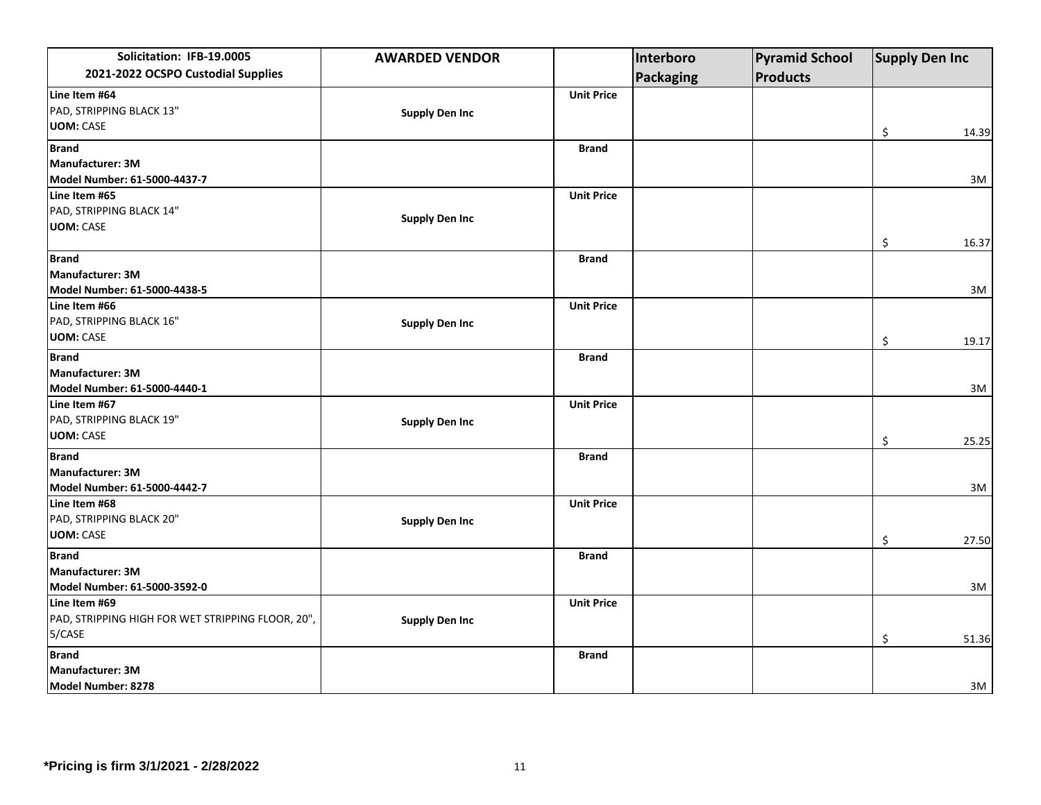| Solicitation: IFB-19.0005                         | <b>AWARDED VENDOR</b> |                   | Interboro        | <b>Pyramid School</b> | <b>Supply Den Inc</b> |       |
|---------------------------------------------------|-----------------------|-------------------|------------------|-----------------------|-----------------------|-------|
| 2021-2022 OCSPO Custodial Supplies                |                       |                   | <b>Packaging</b> | <b>Products</b>       |                       |       |
| Line Item #64                                     |                       | <b>Unit Price</b> |                  |                       |                       |       |
| PAD, STRIPPING BLACK 13"                          | <b>Supply Den Inc</b> |                   |                  |                       |                       |       |
| <b>UOM: CASE</b>                                  |                       |                   |                  |                       | \$                    | 14.39 |
| <b>Brand</b>                                      |                       | <b>Brand</b>      |                  |                       |                       |       |
| Manufacturer: 3M                                  |                       |                   |                  |                       |                       |       |
| Model Number: 61-5000-4437-7                      |                       |                   |                  |                       |                       | 3M    |
| Line Item #65                                     |                       | <b>Unit Price</b> |                  |                       |                       |       |
| PAD, STRIPPING BLACK 14"                          |                       |                   |                  |                       |                       |       |
| <b>UOM: CASE</b>                                  | <b>Supply Den Inc</b> |                   |                  |                       |                       |       |
|                                                   |                       |                   |                  |                       | \$                    | 16.37 |
| <b>Brand</b>                                      |                       | <b>Brand</b>      |                  |                       |                       |       |
| Manufacturer: 3M                                  |                       |                   |                  |                       |                       |       |
| Model Number: 61-5000-4438-5                      |                       |                   |                  |                       |                       | 3M    |
| Line Item #66                                     |                       | <b>Unit Price</b> |                  |                       |                       |       |
| PAD, STRIPPING BLACK 16"                          | <b>Supply Den Inc</b> |                   |                  |                       |                       |       |
| <b>UOM: CASE</b>                                  |                       |                   |                  |                       | \$                    | 19.17 |
| <b>Brand</b>                                      |                       | <b>Brand</b>      |                  |                       |                       |       |
| Manufacturer: 3M                                  |                       |                   |                  |                       |                       |       |
| Model Number: 61-5000-4440-1                      |                       |                   |                  |                       |                       | 3M    |
| Line Item #67                                     |                       | <b>Unit Price</b> |                  |                       |                       |       |
| PAD, STRIPPING BLACK 19"                          | <b>Supply Den Inc</b> |                   |                  |                       |                       |       |
| <b>UOM: CASE</b>                                  |                       |                   |                  |                       | \$                    | 25.25 |
| <b>Brand</b>                                      |                       | <b>Brand</b>      |                  |                       |                       |       |
| Manufacturer: 3M                                  |                       |                   |                  |                       |                       |       |
| Model Number: 61-5000-4442-7                      |                       |                   |                  |                       |                       | 3M    |
| Line Item #68                                     |                       | <b>Unit Price</b> |                  |                       |                       |       |
| PAD, STRIPPING BLACK 20"                          | <b>Supply Den Inc</b> |                   |                  |                       |                       |       |
| <b>UOM: CASE</b>                                  |                       |                   |                  |                       | \$                    | 27.50 |
| <b>Brand</b>                                      |                       | <b>Brand</b>      |                  |                       |                       |       |
| Manufacturer: 3M                                  |                       |                   |                  |                       |                       |       |
| Model Number: 61-5000-3592-0                      |                       |                   |                  |                       |                       | 3M    |
| Line Item #69                                     |                       | <b>Unit Price</b> |                  |                       |                       |       |
| PAD, STRIPPING HIGH FOR WET STRIPPING FLOOR, 20", | <b>Supply Den Inc</b> |                   |                  |                       |                       |       |
| 5/CASE                                            |                       |                   |                  |                       | \$                    | 51.36 |
| <b>Brand</b>                                      |                       | <b>Brand</b>      |                  |                       |                       |       |
| Manufacturer: 3M                                  |                       |                   |                  |                       |                       |       |
| Model Number: 8278                                |                       |                   |                  |                       |                       | 3M    |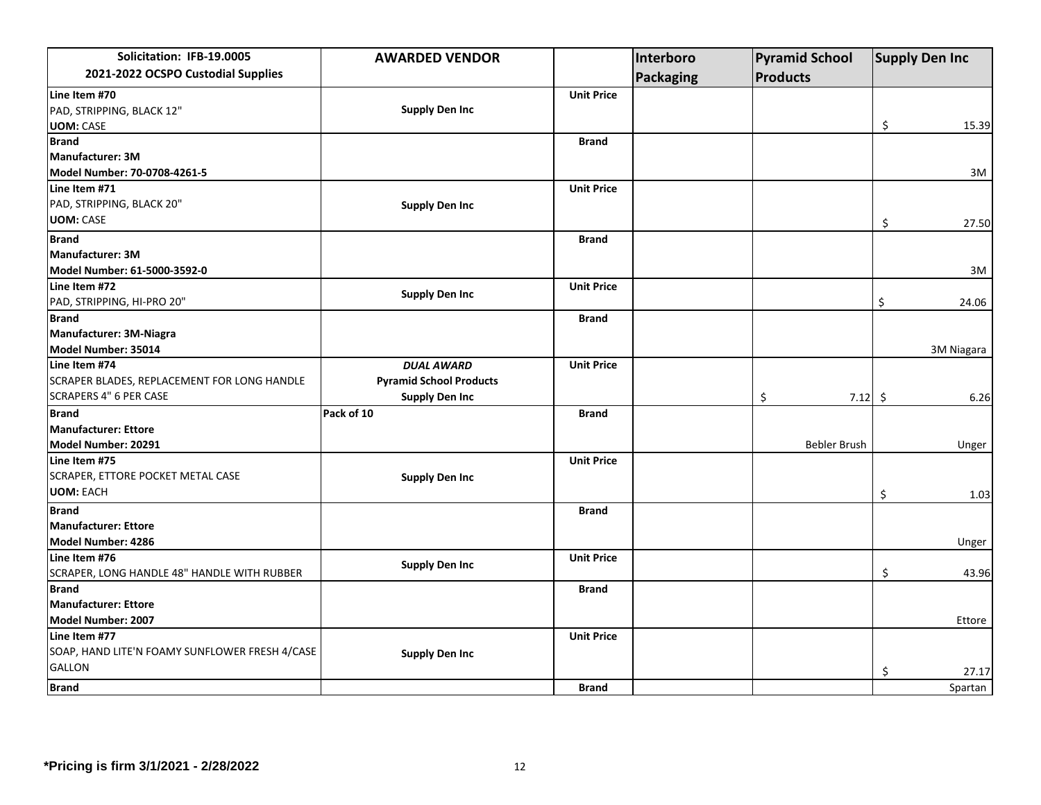| Solicitation: IFB-19.0005                      | <b>AWARDED VENDOR</b>          |                   | Interboro        | <b>Pyramid School</b> | <b>Supply Den Inc</b> |
|------------------------------------------------|--------------------------------|-------------------|------------------|-----------------------|-----------------------|
| 2021-2022 OCSPO Custodial Supplies             |                                |                   | <b>Packaging</b> | <b>Products</b>       |                       |
| Line Item #70                                  |                                | <b>Unit Price</b> |                  |                       |                       |
| PAD, STRIPPING, BLACK 12"                      | <b>Supply Den Inc</b>          |                   |                  |                       |                       |
| <b>UOM: CASE</b>                               |                                |                   |                  |                       | \$<br>15.39           |
| <b>Brand</b>                                   |                                | <b>Brand</b>      |                  |                       |                       |
| <b>Manufacturer: 3M</b>                        |                                |                   |                  |                       |                       |
| Model Number: 70-0708-4261-5                   |                                |                   |                  |                       | 3M                    |
| Line Item #71                                  |                                | <b>Unit Price</b> |                  |                       |                       |
| PAD, STRIPPING, BLACK 20"                      | <b>Supply Den Inc</b>          |                   |                  |                       |                       |
| <b>UOM: CASE</b>                               |                                |                   |                  |                       | \$<br>27.50           |
| <b>Brand</b>                                   |                                | <b>Brand</b>      |                  |                       |                       |
| Manufacturer: 3M                               |                                |                   |                  |                       |                       |
| Model Number: 61-5000-3592-0                   |                                |                   |                  |                       | 3M                    |
| Line Item #72                                  |                                | <b>Unit Price</b> |                  |                       |                       |
| PAD, STRIPPING, HI-PRO 20"                     | <b>Supply Den Inc</b>          |                   |                  |                       | 24.06<br>\$           |
| <b>Brand</b>                                   |                                | <b>Brand</b>      |                  |                       |                       |
| Manufacturer: 3M-Niagra                        |                                |                   |                  |                       |                       |
| Model Number: 35014                            |                                |                   |                  |                       | 3M Niagara            |
| Line Item #74                                  | <b>DUAL AWARD</b>              | <b>Unit Price</b> |                  |                       |                       |
| SCRAPER BLADES, REPLACEMENT FOR LONG HANDLE    | <b>Pyramid School Products</b> |                   |                  |                       |                       |
| <b>SCRAPERS 4" 6 PER CASE</b>                  | <b>Supply Den Inc</b>          |                   |                  | \$<br>$7.12 \div$     | 6.26                  |
| <b>Brand</b>                                   | Pack of 10                     | <b>Brand</b>      |                  |                       |                       |
| Manufacturer: Ettore                           |                                |                   |                  |                       |                       |
| Model Number: 20291                            |                                |                   |                  | Bebler Brush          | Unger                 |
| Line Item #75                                  |                                | <b>Unit Price</b> |                  |                       |                       |
| SCRAPER, ETTORE POCKET METAL CASE              | <b>Supply Den Inc</b>          |                   |                  |                       |                       |
| <b>UOM: EACH</b>                               |                                |                   |                  |                       | \$<br>1.03            |
| <b>Brand</b>                                   |                                | <b>Brand</b>      |                  |                       |                       |
| <b>Manufacturer: Ettore</b>                    |                                |                   |                  |                       |                       |
| Model Number: 4286                             |                                |                   |                  |                       | Unger                 |
| Line Item #76                                  | <b>Supply Den Inc</b>          | <b>Unit Price</b> |                  |                       |                       |
| SCRAPER, LONG HANDLE 48" HANDLE WITH RUBBER    |                                |                   |                  |                       | \$<br>43.96           |
| <b>Brand</b>                                   |                                | <b>Brand</b>      |                  |                       |                       |
| <b>Manufacturer: Ettore</b>                    |                                |                   |                  |                       |                       |
| Model Number: 2007                             |                                |                   |                  |                       | Ettore                |
| Line Item #77                                  |                                | <b>Unit Price</b> |                  |                       |                       |
| SOAP, HAND LITE'N FOAMY SUNFLOWER FRESH 4/CASE | <b>Supply Den Inc</b>          |                   |                  |                       |                       |
| <b>GALLON</b>                                  |                                |                   |                  |                       | \$<br>27.17           |
| <b>Brand</b>                                   |                                | <b>Brand</b>      |                  |                       | Spartan               |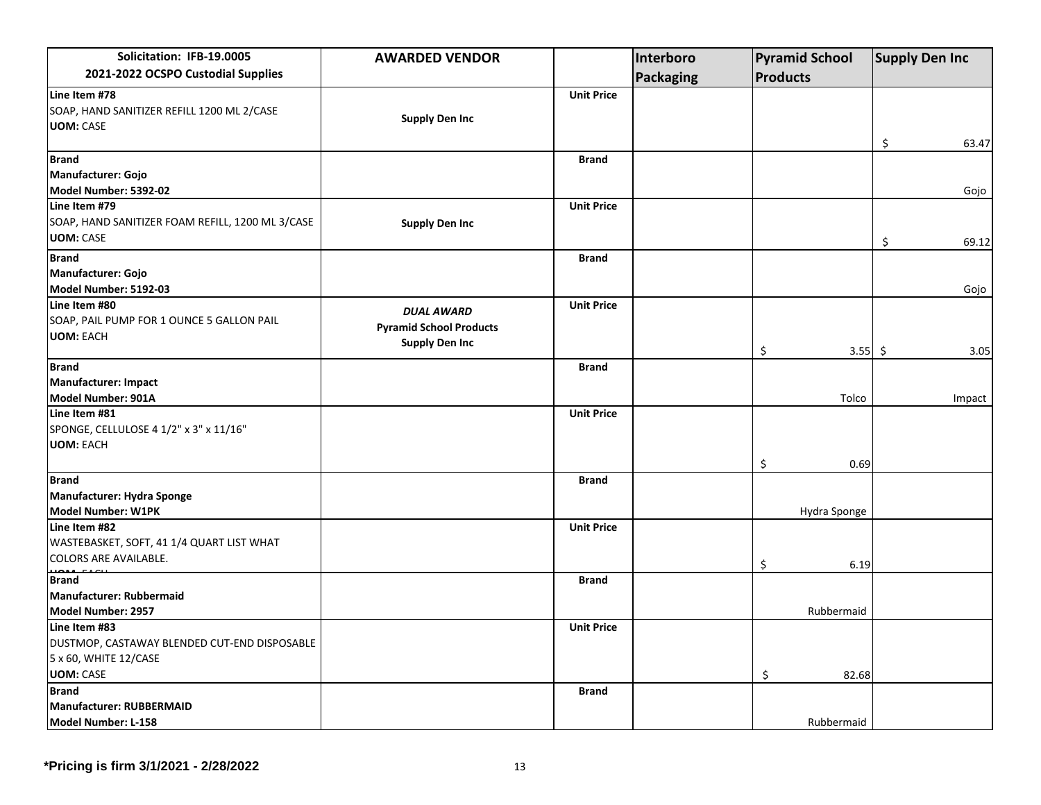| Solicitation: IFB-19.0005                                                                                  | <b>AWARDED VENDOR</b>                                                        |                   | Interboro        | <b>Pyramid School</b> | <b>Supply Den Inc</b> |  |
|------------------------------------------------------------------------------------------------------------|------------------------------------------------------------------------------|-------------------|------------------|-----------------------|-----------------------|--|
| 2021-2022 OCSPO Custodial Supplies                                                                         |                                                                              |                   | <b>Packaging</b> | <b>Products</b>       |                       |  |
| Line Item #78<br>SOAP, HAND SANITIZER REFILL 1200 ML 2/CASE<br><b>UOM: CASE</b>                            | <b>Supply Den Inc</b>                                                        | <b>Unit Price</b> |                  |                       | \$<br>63.47           |  |
| <b>Brand</b><br>Manufacturer: Gojo<br>Model Number: 5392-02                                                |                                                                              | <b>Brand</b>      |                  |                       | Gojo                  |  |
| Line Item #79<br>SOAP, HAND SANITIZER FOAM REFILL, 1200 ML 3/CASE<br><b>UOM: CASE</b>                      | <b>Supply Den Inc</b>                                                        | <b>Unit Price</b> |                  |                       | \$<br>69.12           |  |
| <b>Brand</b><br><b>Manufacturer: Gojo</b><br>Model Number: 5192-03                                         |                                                                              | <b>Brand</b>      |                  |                       | Gojo                  |  |
| Line Item #80<br>SOAP, PAIL PUMP FOR 1 OUNCE 5 GALLON PAIL<br><b>UOM: EACH</b>                             | <b>DUAL AWARD</b><br><b>Pyramid School Products</b><br><b>Supply Den Inc</b> | <b>Unit Price</b> |                  | \$                    | 3.55 \$<br>3.05       |  |
| <b>Brand</b><br>Manufacturer: Impact<br>Model Number: 901A                                                 |                                                                              | <b>Brand</b>      |                  | Tolco                 | Impact                |  |
| Line Item #81<br>SPONGE, CELLULOSE 4 1/2" x 3" x 11/16"<br><b>UOM: EACH</b>                                |                                                                              | <b>Unit Price</b> |                  |                       |                       |  |
| <b>Brand</b><br>Manufacturer: Hydra Sponge<br>Model Number: W1PK                                           |                                                                              | <b>Brand</b>      |                  | \$<br>Hydra Sponge    | 0.69                  |  |
| Line Item #82<br>WASTEBASKET, SOFT, 41 1/4 QUART LIST WHAT<br><b>COLORS ARE AVAILABLE.</b>                 |                                                                              | <b>Unit Price</b> |                  | \$                    | 6.19                  |  |
| <b>Brand</b><br>Manufacturer: Rubbermaid<br>Model Number: 2957                                             |                                                                              | <b>Brand</b>      |                  | Rubbermaid            |                       |  |
| Line Item #83<br>DUSTMOP, CASTAWAY BLENDED CUT-END DISPOSABLE<br>5 x 60, WHITE 12/CASE<br><b>UOM: CASE</b> |                                                                              | <b>Unit Price</b> |                  | \$<br>82.68           |                       |  |
| <b>Brand</b><br><b>Manufacturer: RUBBERMAID</b><br>Model Number: L-158                                     |                                                                              | <b>Brand</b>      |                  | Rubbermaid            |                       |  |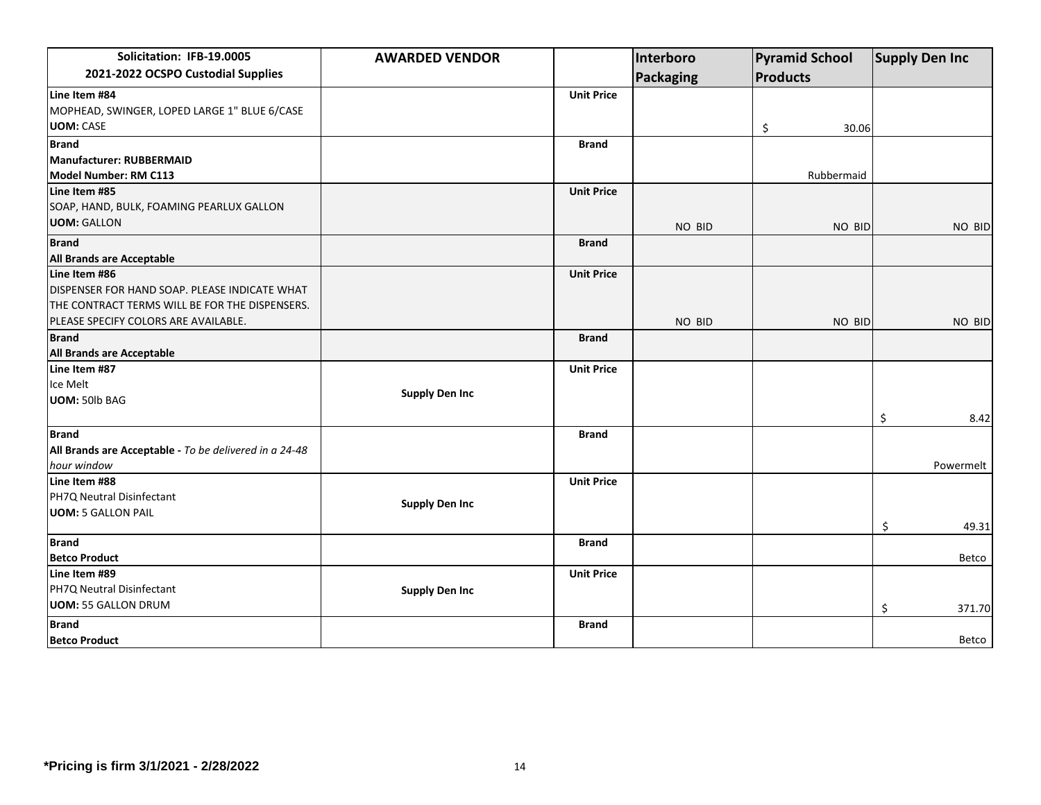| Solicitation: IFB-19.0005                              | <b>AWARDED VENDOR</b> |                   | Interboro        |    | <b>Pyramid School</b><br><b>Products</b> |    | <b>Supply Den Inc</b> |  |
|--------------------------------------------------------|-----------------------|-------------------|------------------|----|------------------------------------------|----|-----------------------|--|
| 2021-2022 OCSPO Custodial Supplies                     |                       |                   | <b>Packaging</b> |    |                                          |    |                       |  |
| Line Item #84                                          |                       | <b>Unit Price</b> |                  |    |                                          |    |                       |  |
| MOPHEAD, SWINGER, LOPED LARGE 1" BLUE 6/CASE           |                       |                   |                  |    |                                          |    |                       |  |
| <b>UOM: CASE</b>                                       |                       |                   |                  | \$ | 30.06                                    |    |                       |  |
| <b>Brand</b>                                           |                       | Brand             |                  |    |                                          |    |                       |  |
| Manufacturer: RUBBERMAID                               |                       |                   |                  |    |                                          |    |                       |  |
| Model Number: RM C113                                  |                       |                   |                  |    | Rubbermaid                               |    |                       |  |
| Line Item #85                                          |                       | <b>Unit Price</b> |                  |    |                                          |    |                       |  |
| SOAP, HAND, BULK, FOAMING PEARLUX GALLON               |                       |                   |                  |    |                                          |    |                       |  |
| <b>UOM: GALLON</b>                                     |                       |                   | NO BID           |    | NO BID                                   |    | NO BID                |  |
| <b>Brand</b>                                           |                       | <b>Brand</b>      |                  |    |                                          |    |                       |  |
| All Brands are Acceptable                              |                       |                   |                  |    |                                          |    |                       |  |
| Line Item #86                                          |                       | <b>Unit Price</b> |                  |    |                                          |    |                       |  |
| DISPENSER FOR HAND SOAP. PLEASE INDICATE WHAT          |                       |                   |                  |    |                                          |    |                       |  |
| THE CONTRACT TERMS WILL BE FOR THE DISPENSERS.         |                       |                   |                  |    |                                          |    |                       |  |
| PLEASE SPECIFY COLORS ARE AVAILABLE.                   |                       |                   | NO BID           |    | NO BID                                   |    | NO BID                |  |
| <b>Brand</b>                                           |                       | <b>Brand</b>      |                  |    |                                          |    |                       |  |
| All Brands are Acceptable                              |                       |                   |                  |    |                                          |    |                       |  |
| Line Item #87                                          |                       | <b>Unit Price</b> |                  |    |                                          |    |                       |  |
| Ice Melt                                               |                       |                   |                  |    |                                          |    |                       |  |
| <b>UOM: 50lb BAG</b>                                   | <b>Supply Den Inc</b> |                   |                  |    |                                          |    |                       |  |
|                                                        |                       |                   |                  |    |                                          | \$ | 8.42                  |  |
| <b>Brand</b>                                           |                       | <b>Brand</b>      |                  |    |                                          |    |                       |  |
| All Brands are Acceptable - To be delivered in a 24-48 |                       |                   |                  |    |                                          |    |                       |  |
| hour window                                            |                       |                   |                  |    |                                          |    | Powermelt             |  |
| Line Item #88                                          |                       | <b>Unit Price</b> |                  |    |                                          |    |                       |  |
| PH7Q Neutral Disinfectant                              | <b>Supply Den Inc</b> |                   |                  |    |                                          |    |                       |  |
| <b>UOM: 5 GALLON PAIL</b>                              |                       |                   |                  |    |                                          |    |                       |  |
|                                                        |                       |                   |                  |    |                                          | \$ | 49.31                 |  |
| <b>Brand</b>                                           |                       | <b>Brand</b>      |                  |    |                                          |    |                       |  |
| <b>Betco Product</b>                                   |                       |                   |                  |    |                                          |    | Betco                 |  |
| Line Item #89                                          |                       | <b>Unit Price</b> |                  |    |                                          |    |                       |  |
| PH7Q Neutral Disinfectant                              | <b>Supply Den Inc</b> |                   |                  |    |                                          |    |                       |  |
| <b>UOM: 55 GALLON DRUM</b>                             |                       |                   |                  |    |                                          | \$ | 371.70                |  |
| <b>Brand</b>                                           |                       | <b>Brand</b>      |                  |    |                                          |    |                       |  |
| <b>Betco Product</b>                                   |                       |                   |                  |    |                                          |    | Betco                 |  |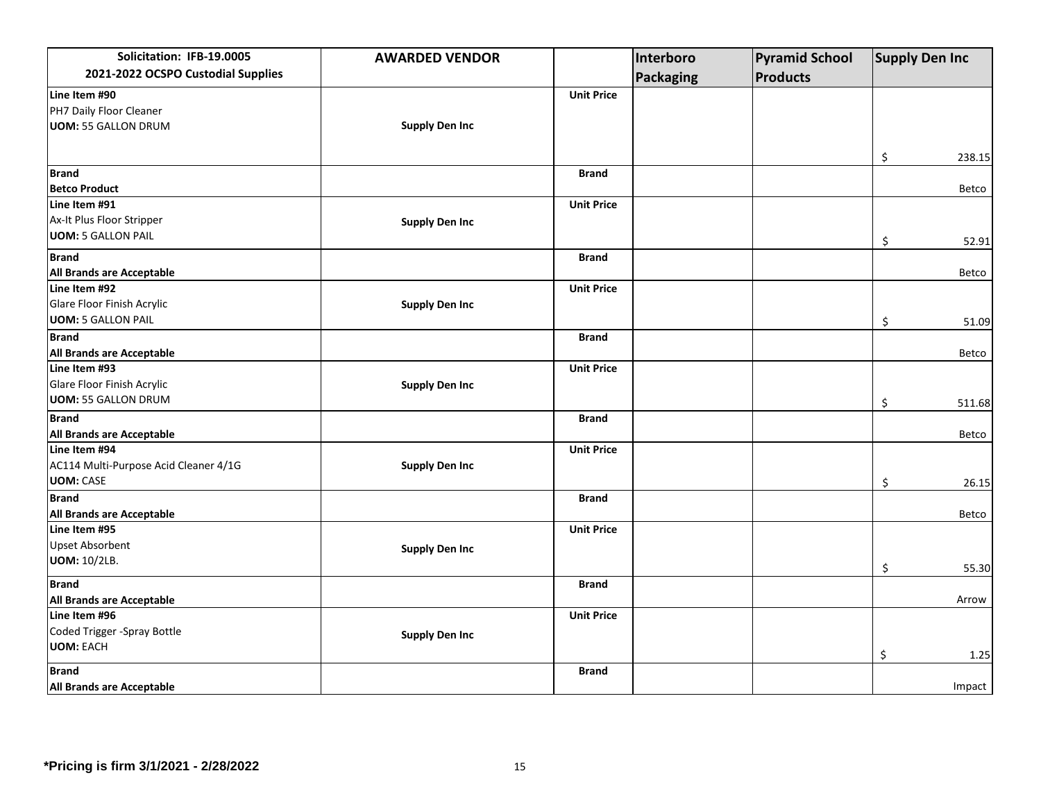| Solicitation: IFB-19.0005             | <b>AWARDED VENDOR</b> |                   | Interboro        | <b>Pyramid School</b> | <b>Supply Den Inc</b> |        |
|---------------------------------------|-----------------------|-------------------|------------------|-----------------------|-----------------------|--------|
| 2021-2022 OCSPO Custodial Supplies    |                       |                   | <b>Packaging</b> | <b>Products</b>       |                       |        |
| Line Item #90                         |                       | <b>Unit Price</b> |                  |                       |                       |        |
| PH7 Daily Floor Cleaner               |                       |                   |                  |                       |                       |        |
| <b>UOM: 55 GALLON DRUM</b>            | <b>Supply Den Inc</b> |                   |                  |                       |                       |        |
|                                       |                       |                   |                  |                       |                       |        |
|                                       |                       |                   |                  |                       | \$                    | 238.15 |
| <b>Brand</b>                          |                       | <b>Brand</b>      |                  |                       |                       |        |
| <b>Betco Product</b>                  |                       |                   |                  |                       |                       | Betco  |
| Line Item #91                         |                       | <b>Unit Price</b> |                  |                       |                       |        |
| Ax-It Plus Floor Stripper             | <b>Supply Den Inc</b> |                   |                  |                       |                       |        |
| <b>UOM: 5 GALLON PAIL</b>             |                       |                   |                  |                       | \$                    | 52.91  |
| <b>Brand</b>                          |                       | <b>Brand</b>      |                  |                       |                       |        |
| All Brands are Acceptable             |                       |                   |                  |                       |                       | Betco  |
| Line Item #92                         |                       | <b>Unit Price</b> |                  |                       |                       |        |
| Glare Floor Finish Acrylic            | <b>Supply Den Inc</b> |                   |                  |                       |                       |        |
| <b>UOM: 5 GALLON PAIL</b>             |                       |                   |                  |                       | \$                    | 51.09  |
| <b>Brand</b>                          |                       | <b>Brand</b>      |                  |                       |                       |        |
| All Brands are Acceptable             |                       |                   |                  |                       |                       | Betco  |
| Line Item #93                         |                       | <b>Unit Price</b> |                  |                       |                       |        |
| Glare Floor Finish Acrylic            | <b>Supply Den Inc</b> |                   |                  |                       |                       |        |
| <b>UOM: 55 GALLON DRUM</b>            |                       |                   |                  |                       | \$                    | 511.68 |
| <b>Brand</b>                          |                       | <b>Brand</b>      |                  |                       |                       |        |
| All Brands are Acceptable             |                       |                   |                  |                       |                       | Betco  |
| Line Item #94                         |                       | <b>Unit Price</b> |                  |                       |                       |        |
| AC114 Multi-Purpose Acid Cleaner 4/1G | <b>Supply Den Inc</b> |                   |                  |                       |                       |        |
| <b>UOM: CASE</b>                      |                       |                   |                  |                       | \$                    | 26.15  |
| <b>Brand</b>                          |                       | <b>Brand</b>      |                  |                       |                       |        |
| All Brands are Acceptable             |                       |                   |                  |                       |                       | Betco  |
| Line Item #95                         |                       | <b>Unit Price</b> |                  |                       |                       |        |
| <b>Upset Absorbent</b>                | <b>Supply Den Inc</b> |                   |                  |                       |                       |        |
| <b>UOM: 10/2LB.</b>                   |                       |                   |                  |                       | \$                    | 55.30  |
| <b>Brand</b>                          |                       | <b>Brand</b>      |                  |                       |                       |        |
| All Brands are Acceptable             |                       |                   |                  |                       |                       | Arrow  |
| Line Item #96                         |                       | <b>Unit Price</b> |                  |                       |                       |        |
| Coded Trigger - Spray Bottle          | <b>Supply Den Inc</b> |                   |                  |                       |                       |        |
| <b>UOM: EACH</b>                      |                       |                   |                  |                       | \$                    | 1.25   |
| <b>Brand</b>                          |                       | <b>Brand</b>      |                  |                       |                       |        |
| All Brands are Acceptable             |                       |                   |                  |                       | Impact                |        |
|                                       |                       |                   |                  |                       |                       |        |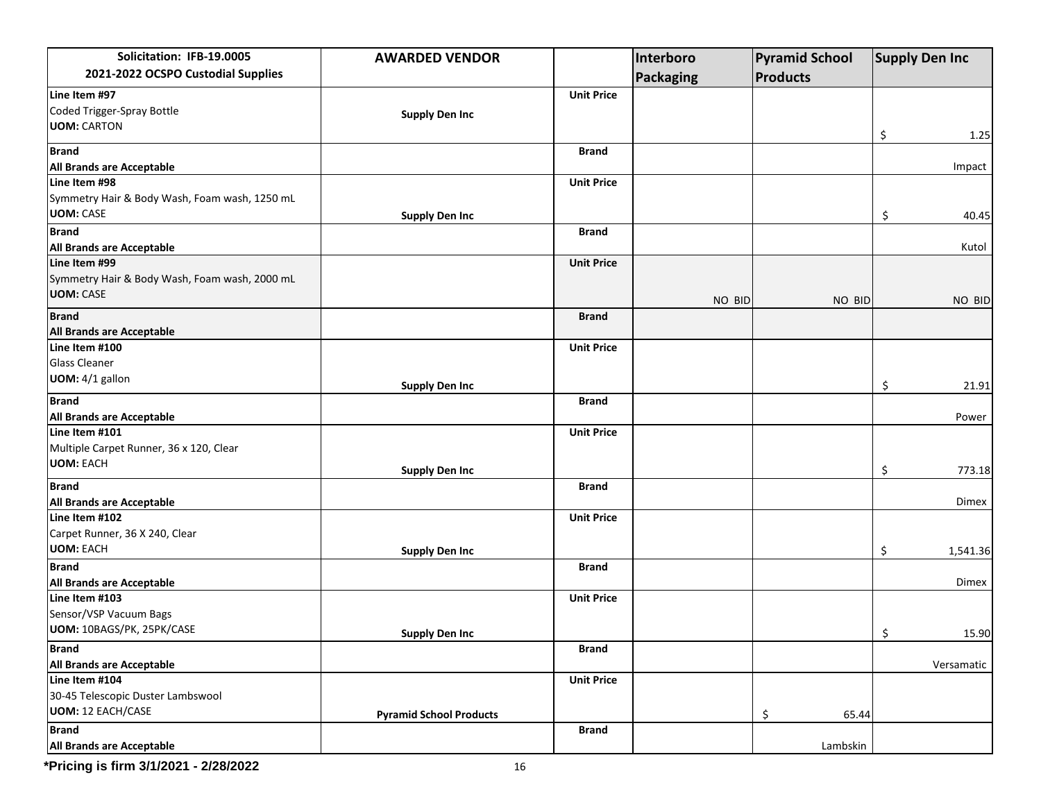| Solicitation: IFB-19.0005                     | <b>AWARDED VENDOR</b>          |                   | Interboro        | <b>Pyramid School</b> | <b>Supply Den Inc</b> |  |
|-----------------------------------------------|--------------------------------|-------------------|------------------|-----------------------|-----------------------|--|
| 2021-2022 OCSPO Custodial Supplies            |                                |                   | <b>Packaging</b> | <b>Products</b>       |                       |  |
| Line Item #97                                 |                                | <b>Unit Price</b> |                  |                       |                       |  |
| Coded Trigger-Spray Bottle                    | <b>Supply Den Inc</b>          |                   |                  |                       |                       |  |
| <b>UOM: CARTON</b>                            |                                |                   |                  |                       | 1.25                  |  |
| <b>Brand</b>                                  |                                | <b>Brand</b>      |                  |                       | \$                    |  |
| All Brands are Acceptable                     |                                |                   |                  |                       | Impact                |  |
| Line Item #98                                 |                                | <b>Unit Price</b> |                  |                       |                       |  |
| Symmetry Hair & Body Wash, Foam wash, 1250 mL |                                |                   |                  |                       |                       |  |
| <b>UOM: CASE</b>                              | <b>Supply Den Inc</b>          |                   |                  |                       | \$<br>40.45           |  |
| <b>Brand</b>                                  |                                | <b>Brand</b>      |                  |                       |                       |  |
| All Brands are Acceptable                     |                                |                   |                  |                       | Kutol                 |  |
| Line Item #99                                 |                                | <b>Unit Price</b> |                  |                       |                       |  |
| Symmetry Hair & Body Wash, Foam wash, 2000 mL |                                |                   |                  |                       |                       |  |
| <b>UOM: CASE</b>                              |                                |                   | NO BID           | NO BID                | NO BID                |  |
| <b>Brand</b>                                  |                                | <b>Brand</b>      |                  |                       |                       |  |
| All Brands are Acceptable                     |                                |                   |                  |                       |                       |  |
| Line Item #100                                |                                | <b>Unit Price</b> |                  |                       |                       |  |
| <b>Glass Cleaner</b>                          |                                |                   |                  |                       |                       |  |
| UOM: 4/1 gallon                               |                                |                   |                  |                       |                       |  |
|                                               | <b>Supply Den Inc</b>          |                   |                  |                       | \$<br>21.91           |  |
| <b>Brand</b>                                  |                                | <b>Brand</b>      |                  |                       |                       |  |
| All Brands are Acceptable                     |                                |                   |                  |                       | Power                 |  |
| Line Item #101                                |                                | <b>Unit Price</b> |                  |                       |                       |  |
| Multiple Carpet Runner, 36 x 120, Clear       |                                |                   |                  |                       |                       |  |
| <b>UOM: EACH</b>                              | <b>Supply Den Inc</b>          |                   |                  |                       | \$<br>773.18          |  |
| <b>Brand</b>                                  |                                | <b>Brand</b>      |                  |                       |                       |  |
| All Brands are Acceptable                     |                                |                   |                  |                       | Dimex                 |  |
| Line Item #102                                |                                | <b>Unit Price</b> |                  |                       |                       |  |
| Carpet Runner, 36 X 240, Clear                |                                |                   |                  |                       |                       |  |
| <b>UOM: EACH</b>                              | <b>Supply Den Inc</b>          |                   |                  |                       | \$<br>1,541.36        |  |
| <b>Brand</b>                                  |                                | <b>Brand</b>      |                  |                       |                       |  |
| All Brands are Acceptable                     |                                |                   |                  |                       | Dimex                 |  |
| Line Item #103                                |                                | <b>Unit Price</b> |                  |                       |                       |  |
| Sensor/VSP Vacuum Bags                        |                                |                   |                  |                       |                       |  |
| UOM: 10BAGS/PK, 25PK/CASE                     | <b>Supply Den Inc</b>          |                   |                  |                       | 15.90<br>Ś.           |  |
| <b>Brand</b>                                  |                                | <b>Brand</b>      |                  |                       |                       |  |
| All Brands are Acceptable                     |                                |                   |                  |                       | Versamatic            |  |
| Line Item #104                                |                                | <b>Unit Price</b> |                  |                       |                       |  |
| 30-45 Telescopic Duster Lambswool             |                                |                   |                  |                       |                       |  |
| <b>UOM: 12 EACH/CASE</b>                      | <b>Pyramid School Products</b> |                   |                  | 65.44<br>\$           |                       |  |
| <b>Brand</b>                                  |                                | <b>Brand</b>      |                  |                       |                       |  |
| All Brands are Acceptable                     |                                |                   |                  | Lambskin              |                       |  |

**\*Pricing is firm 3/1/2021 - 2/28/2022** 16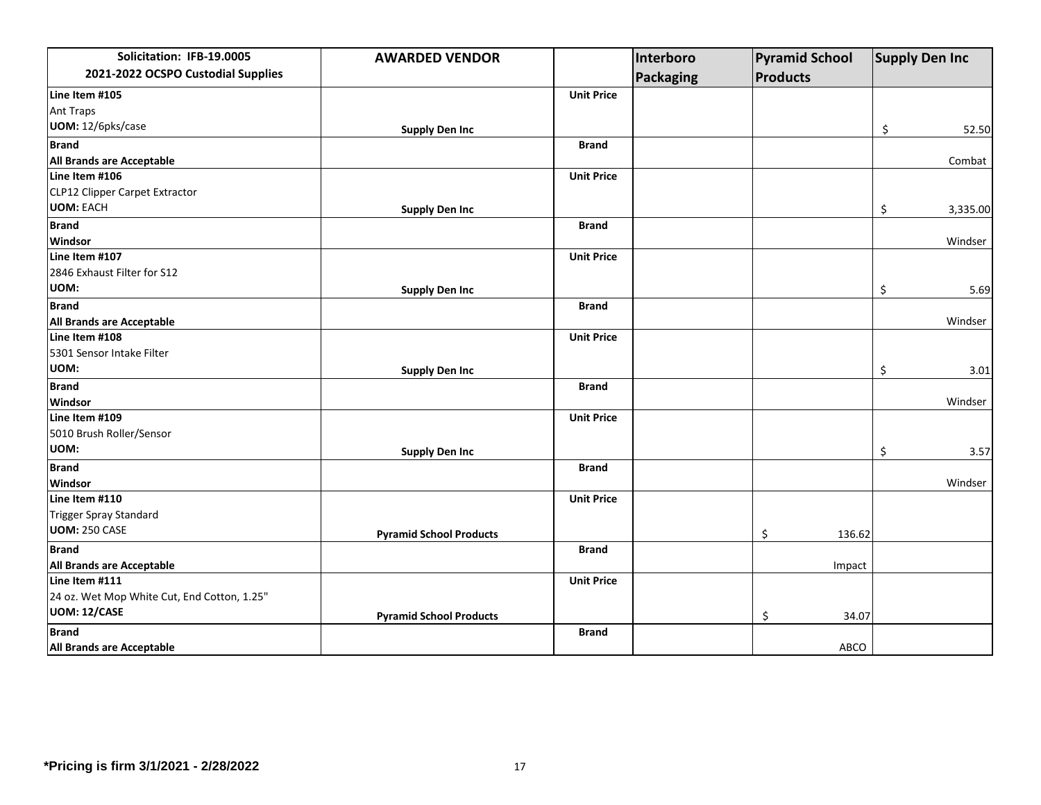| Solicitation: IFB-19.0005                   | <b>AWARDED VENDOR</b>          |                   | Interboro        |                 | <b>Pyramid School</b> | <b>Supply Den Inc</b> |
|---------------------------------------------|--------------------------------|-------------------|------------------|-----------------|-----------------------|-----------------------|
| 2021-2022 OCSPO Custodial Supplies          |                                |                   | <b>Packaging</b> | <b>Products</b> |                       |                       |
| Line Item #105                              |                                | <b>Unit Price</b> |                  |                 |                       |                       |
| <b>Ant Traps</b>                            |                                |                   |                  |                 |                       |                       |
| UOM: 12/6pks/case                           | <b>Supply Den Inc</b>          |                   |                  |                 |                       | \$<br>52.50           |
| <b>Brand</b>                                |                                | <b>Brand</b>      |                  |                 |                       |                       |
| All Brands are Acceptable                   |                                |                   |                  |                 |                       | Combat                |
| Line Item #106                              |                                | <b>Unit Price</b> |                  |                 |                       |                       |
| CLP12 Clipper Carpet Extractor              |                                |                   |                  |                 |                       |                       |
| <b>UOM: EACH</b>                            | <b>Supply Den Inc</b>          |                   |                  |                 |                       | \$<br>3,335.00        |
| <b>Brand</b>                                |                                | <b>Brand</b>      |                  |                 |                       |                       |
| Windsor                                     |                                |                   |                  |                 |                       | Windser               |
| Line Item #107                              |                                | <b>Unit Price</b> |                  |                 |                       |                       |
| 2846 Exhaust Filter for S12                 |                                |                   |                  |                 |                       |                       |
| UOM:                                        | <b>Supply Den Inc</b>          |                   |                  |                 |                       | \$<br>5.69            |
| <b>Brand</b>                                |                                | <b>Brand</b>      |                  |                 |                       |                       |
| All Brands are Acceptable                   |                                |                   |                  |                 |                       | Windser               |
| Line Item #108                              |                                | <b>Unit Price</b> |                  |                 |                       |                       |
| 5301 Sensor Intake Filter                   |                                |                   |                  |                 |                       |                       |
| UOM:                                        | <b>Supply Den Inc</b>          |                   |                  |                 |                       | \$<br>3.01            |
| <b>Brand</b>                                |                                | <b>Brand</b>      |                  |                 |                       |                       |
| Windsor                                     |                                |                   |                  |                 |                       | Windser               |
| Line Item #109                              |                                | <b>Unit Price</b> |                  |                 |                       |                       |
| 5010 Brush Roller/Sensor                    |                                |                   |                  |                 |                       |                       |
| UOM:                                        | <b>Supply Den Inc</b>          |                   |                  |                 |                       | \$<br>3.57            |
| <b>Brand</b>                                |                                | <b>Brand</b>      |                  |                 |                       |                       |
| Windsor                                     |                                |                   |                  |                 |                       | Windser               |
| Line Item #110                              |                                | <b>Unit Price</b> |                  |                 |                       |                       |
| <b>Trigger Spray Standard</b>               |                                |                   |                  |                 |                       |                       |
| UOM: 250 CASE                               | <b>Pyramid School Products</b> |                   |                  | \$              | 136.62                |                       |
| <b>Brand</b>                                |                                | <b>Brand</b>      |                  |                 |                       |                       |
| All Brands are Acceptable                   |                                |                   |                  |                 | Impact                |                       |
| Line Item #111                              |                                | <b>Unit Price</b> |                  |                 |                       |                       |
| 24 oz. Wet Mop White Cut, End Cotton, 1.25" |                                |                   |                  |                 |                       |                       |
| UOM: 12/CASE                                | <b>Pyramid School Products</b> |                   |                  | \$              | 34.07                 |                       |
| <b>Brand</b>                                |                                | <b>Brand</b>      |                  |                 |                       |                       |
| <b>All Brands are Acceptable</b>            |                                |                   |                  |                 | ABCO                  |                       |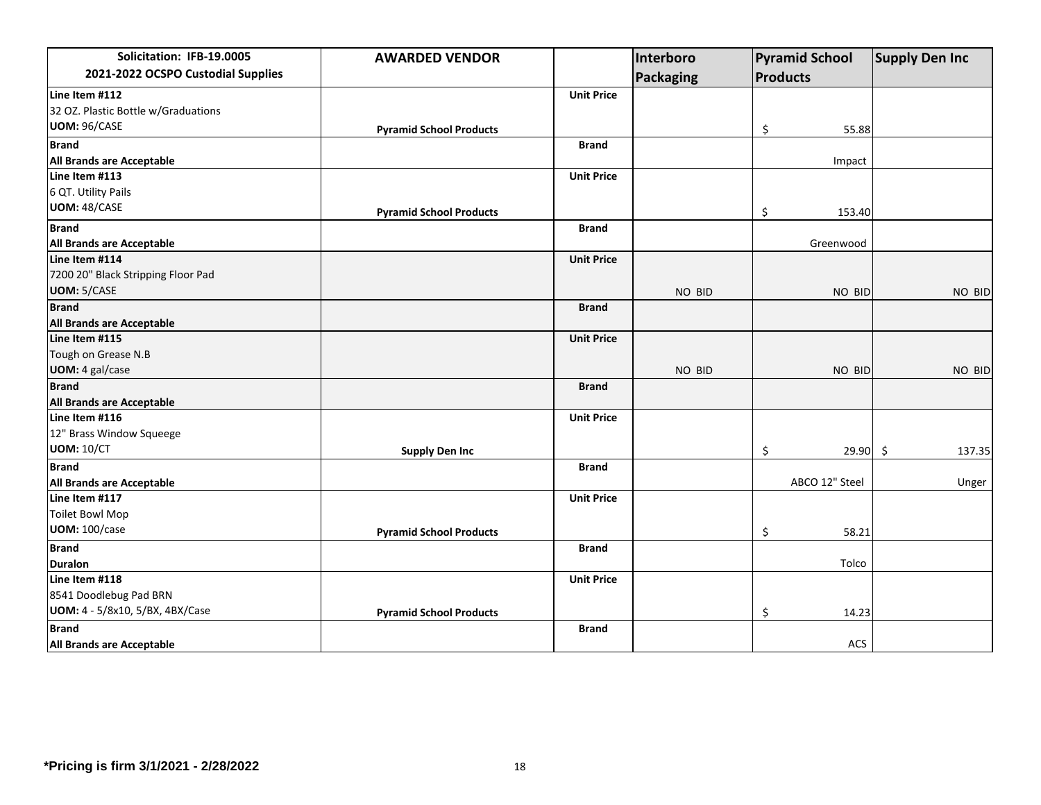| Solicitation: IFB-19.0005           | <b>AWARDED VENDOR</b>          |                   | Interboro        |          | <b>Pyramid School</b> | <b>Supply Den Inc</b> |
|-------------------------------------|--------------------------------|-------------------|------------------|----------|-----------------------|-----------------------|
| 2021-2022 OCSPO Custodial Supplies  |                                |                   | <b>Packaging</b> | Products |                       |                       |
| Line Item #112                      |                                | <b>Unit Price</b> |                  |          |                       |                       |
| 32 OZ. Plastic Bottle w/Graduations |                                |                   |                  |          |                       |                       |
| UOM: 96/CASE                        | <b>Pyramid School Products</b> |                   |                  | \$       | 55.88                 |                       |
| <b>Brand</b>                        |                                | <b>Brand</b>      |                  |          |                       |                       |
| All Brands are Acceptable           |                                |                   |                  |          | Impact                |                       |
| Line Item #113                      |                                | <b>Unit Price</b> |                  |          |                       |                       |
| 6 QT. Utility Pails                 |                                |                   |                  |          |                       |                       |
| UOM: 48/CASE                        | <b>Pyramid School Products</b> |                   |                  | \$       | 153.40                |                       |
| <b>Brand</b>                        |                                | <b>Brand</b>      |                  |          |                       |                       |
| All Brands are Acceptable           |                                |                   |                  |          | Greenwood             |                       |
| Line Item #114                      |                                | <b>Unit Price</b> |                  |          |                       |                       |
| 7200 20" Black Stripping Floor Pad  |                                |                   |                  |          |                       |                       |
| <b>UOM: 5/CASE</b>                  |                                |                   | NO BID           |          | NO BID                | NO BID                |
| <b>Brand</b>                        |                                | <b>Brand</b>      |                  |          |                       |                       |
| All Brands are Acceptable           |                                |                   |                  |          |                       |                       |
| Line Item #115                      |                                | <b>Unit Price</b> |                  |          |                       |                       |
| Tough on Grease N.B                 |                                |                   |                  |          |                       |                       |
| UOM: 4 gal/case                     |                                |                   | NO BID           |          | NO BID                | NO BID                |
| <b>Brand</b>                        |                                | <b>Brand</b>      |                  |          |                       |                       |
| All Brands are Acceptable           |                                |                   |                  |          |                       |                       |
| Line Item #116                      |                                | <b>Unit Price</b> |                  |          |                       |                       |
| 12" Brass Window Squeege            |                                |                   |                  |          |                       |                       |
| <b>UOM: 10/CT</b>                   | <b>Supply Den Inc</b>          |                   |                  | \$       | 29.90                 | -\$<br>137.35         |
| <b>Brand</b>                        |                                | <b>Brand</b>      |                  |          |                       |                       |
| All Brands are Acceptable           |                                |                   |                  |          | ABCO 12" Steel        | Unger                 |
| Line Item #117                      |                                | <b>Unit Price</b> |                  |          |                       |                       |
| <b>Toilet Bowl Mop</b>              |                                |                   |                  |          |                       |                       |
| <b>UOM: 100/case</b>                | <b>Pyramid School Products</b> |                   |                  | \$       | 58.21                 |                       |
| <b>Brand</b>                        |                                | <b>Brand</b>      |                  |          |                       |                       |
| <b>Duralon</b>                      |                                |                   |                  |          | Tolco                 |                       |
| Line Item #118                      |                                | <b>Unit Price</b> |                  |          |                       |                       |
| 8541 Doodlebug Pad BRN              |                                |                   |                  |          |                       |                       |
| UOM: 4 - 5/8x10, 5/BX, 4BX/Case     | <b>Pyramid School Products</b> |                   |                  | \$       | 14.23                 |                       |
| <b>Brand</b>                        |                                | <b>Brand</b>      |                  |          |                       |                       |
| <b>All Brands are Acceptable</b>    |                                |                   |                  |          | <b>ACS</b>            |                       |